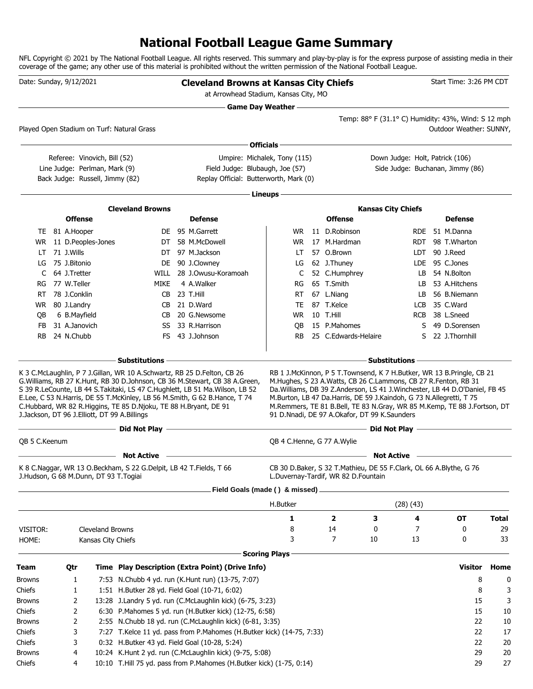# **National Football League Game Summary**

NFL Copyright © 2021 by The National Football League. All rights reserved. This summary and play-by-play is for the express purpose of assisting media in their coverage of the game; any other use of this material is prohibited without the written permission of the National Football League.

| Date: Sunday, 9/12/2021               |                |                                 |                                                                                                                  | <b>Cleveland Browns at Kansas City Chiefs</b><br>at Arrowhead Stadium, Kansas City, MO                                                                                                                                                       |                            |                                     |                                                                                                                                                                                                                                                                                                                                                    |            | Start Time: 3:26 PM CDT          |              |
|---------------------------------------|----------------|---------------------------------|------------------------------------------------------------------------------------------------------------------|----------------------------------------------------------------------------------------------------------------------------------------------------------------------------------------------------------------------------------------------|----------------------------|-------------------------------------|----------------------------------------------------------------------------------------------------------------------------------------------------------------------------------------------------------------------------------------------------------------------------------------------------------------------------------------------------|------------|----------------------------------|--------------|
|                                       |                |                                 |                                                                                                                  |                                                                                                                                                                                                                                              | <b>Game Day Weather</b> -  |                                     |                                                                                                                                                                                                                                                                                                                                                    |            |                                  |              |
|                                       |                |                                 | Played Open Stadium on Turf: Natural Grass                                                                       |                                                                                                                                                                                                                                              |                            |                                     | Temp: 88° F (31.1° C) Humidity: 43%, Wind: S 12 mph                                                                                                                                                                                                                                                                                                |            | Outdoor Weather: SUNNY,          |              |
|                                       |                |                                 |                                                                                                                  |                                                                                                                                                                                                                                              | Officials -                |                                     |                                                                                                                                                                                                                                                                                                                                                    |            |                                  |              |
|                                       |                | Referee: Vinovich, Bill (52)    |                                                                                                                  | Umpire: Michalek, Tony (115)                                                                                                                                                                                                                 |                            |                                     | Down Judge: Holt, Patrick (106)                                                                                                                                                                                                                                                                                                                    |            |                                  |              |
|                                       |                | Line Judge: Perlman, Mark (9)   |                                                                                                                  | Field Judge: Blubaugh, Joe (57)                                                                                                                                                                                                              |                            |                                     |                                                                                                                                                                                                                                                                                                                                                    |            | Side Judge: Buchanan, Jimmy (86) |              |
|                                       |                | Back Judge: Russell, Jimmy (82) |                                                                                                                  | Replay Official: Butterworth, Mark (0)                                                                                                                                                                                                       |                            |                                     |                                                                                                                                                                                                                                                                                                                                                    |            |                                  |              |
|                                       |                |                                 |                                                                                                                  |                                                                                                                                                                                                                                              | Lineups -                  |                                     |                                                                                                                                                                                                                                                                                                                                                    |            |                                  |              |
|                                       |                |                                 |                                                                                                                  |                                                                                                                                                                                                                                              |                            |                                     |                                                                                                                                                                                                                                                                                                                                                    |            |                                  |              |
|                                       | <b>Offense</b> |                                 | <b>Cleveland Browns</b>                                                                                          | <b>Defense</b>                                                                                                                                                                                                                               |                            | <b>Offense</b>                      | <b>Kansas City Chiefs</b>                                                                                                                                                                                                                                                                                                                          |            | <b>Defense</b>                   |              |
|                                       | TE 81 A.Hooper |                                 |                                                                                                                  | DE 95 M.Garrett                                                                                                                                                                                                                              | WR.                        | 11 D.Robinson                       |                                                                                                                                                                                                                                                                                                                                                    | RDE.       | 51 M.Danna                       |              |
| WR.                                   |                | 11 D.Peoples-Jones              | DT                                                                                                               | 58 M.McDowell                                                                                                                                                                                                                                | WR.                        | 17 M.Hardman                        |                                                                                                                                                                                                                                                                                                                                                    | <b>RDT</b> | 98 T.Wharton                     |              |
| LT                                    | 71 J.Wills     |                                 | DT                                                                                                               | 97 M.Jackson                                                                                                                                                                                                                                 | LT.                        | 57 O.Brown                          |                                                                                                                                                                                                                                                                                                                                                    | LDT        | 90 J.Reed                        |              |
| LG                                    | 75 J.Bitonio   |                                 | DE                                                                                                               | 90 J.Clowney                                                                                                                                                                                                                                 | LG                         | 62 J.Thuney                         |                                                                                                                                                                                                                                                                                                                                                    | LDE.       | 95 C.Jones                       |              |
| C                                     | 64 J.Tretter   |                                 |                                                                                                                  | WILL 28 J.Owusu-Koramoah                                                                                                                                                                                                                     | C                          | 52 C.Humphrey                       |                                                                                                                                                                                                                                                                                                                                                    | LB.        | 54 N.Bolton                      |              |
| RG.                                   | 77 W.Teller    |                                 | <b>MIKE</b>                                                                                                      | 4 A.Walker                                                                                                                                                                                                                                   | RG                         | 65 T.Smith                          |                                                                                                                                                                                                                                                                                                                                                    | LB         | 53 A.Hitchens                    |              |
| RT                                    | 78 J.Conklin   |                                 |                                                                                                                  | CB 23 T.Hill                                                                                                                                                                                                                                 | RT.                        | 67 L.Niang                          |                                                                                                                                                                                                                                                                                                                                                    | LB         | 56 B.Niemann                     |              |
| WR.                                   | 80 J.Landry    |                                 | CB.                                                                                                              | 21 D.Ward                                                                                                                                                                                                                                    | TE                         | 87 T.Kelce                          |                                                                                                                                                                                                                                                                                                                                                    | LCB        | 35 C.Ward                        |              |
| OВ                                    | 6 B.Mayfield   |                                 | CB.                                                                                                              | 20 G.Newsome                                                                                                                                                                                                                                 | <b>WR</b>                  | 10 T.Hill                           |                                                                                                                                                                                                                                                                                                                                                    | <b>RCB</b> | 38 L.Sneed                       |              |
| FB                                    | 31 A.Janovich  |                                 | SS                                                                                                               | 33 R.Harrison                                                                                                                                                                                                                                | QB                         | 15 P.Mahomes                        |                                                                                                                                                                                                                                                                                                                                                    | S          | 49 D.Sorensen                    |              |
| RB.                                   | 24 N.Chubb     |                                 | FS.                                                                                                              | 43 J.Johnson                                                                                                                                                                                                                                 | RB.                        | 25 C.Edwards-Helaire                |                                                                                                                                                                                                                                                                                                                                                    | S          | 22 J.Thornhill                   |              |
|                                       |                |                                 |                                                                                                                  |                                                                                                                                                                                                                                              |                            |                                     |                                                                                                                                                                                                                                                                                                                                                    |            |                                  |              |
|                                       |                |                                 | C.Hubbard, WR 82 R.Higgins, TE 85 D.Njoku, TE 88 H.Bryant, DE 91<br>J.Jackson, DT 96 J.Elliott, DT 99 A.Billings | G. Williams, RB 27 K. Hunt, RB 30 D. Johnson, CB 36 M. Stewart, CB 38 A. Green,<br>S 39 R.LeCounte, LB 44 S.Takitaki, LS 47 C.Hughlett, LB 51 Ma. Wilson, LB 52<br>E.Lee, C 53 N.Harris, DE 55 T.McKinley, LB 56 M.Smith, G 62 B.Hance, T 74 |                            |                                     | M.Hughes, S 23 A.Watts, CB 26 C.Lammons, CB 27 R.Fenton, RB 31<br>Da. Williams, DB 39 Z.Anderson, LS 41 J. Winchester, LB 44 D. O'Daniel, FB 45<br>M.Burton, LB 47 Da.Harris, DE 59 J.Kaindoh, G 73 N.Allegretti, T 75<br>M.Remmers, TE 81 B.Bell, TE 83 N.Gray, WR 85 M.Kemp, TE 88 J.Fortson, DT<br>91 D.Nnadi, DE 97 A.Okafor, DT 99 K.Saunders |            |                                  |              |
|                                       |                |                                 | Did Not Play -                                                                                                   |                                                                                                                                                                                                                                              |                            |                                     | Did Not Play -                                                                                                                                                                                                                                                                                                                                     |            |                                  |              |
| QB 5 C.Keenum                         |                |                                 |                                                                                                                  |                                                                                                                                                                                                                                              | QB 4 C.Henne, G 77 A.Wylie |                                     |                                                                                                                                                                                                                                                                                                                                                    |            |                                  |              |
|                                       |                |                                 | <b>Not Active</b>                                                                                                |                                                                                                                                                                                                                                              |                            |                                     | <b>Not Active</b>                                                                                                                                                                                                                                                                                                                                  |            |                                  |              |
| J.Hudson, G 68 M.Dunn, DT 93 T.Togiai |                |                                 | K 8 C.Naggar, WR 13 O.Beckham, S 22 G.Delpit, LB 42 T.Fields, T 66                                               |                                                                                                                                                                                                                                              |                            | L.Duvernay-Tardif, WR 82 D.Fountain | CB 30 D.Baker, S 32 T.Mathieu, DE 55 F.Clark, OL 66 A.Blythe, G 76                                                                                                                                                                                                                                                                                 |            |                                  |              |
|                                       |                |                                 |                                                                                                                  | - Field Goals (made ( ) & missed).                                                                                                                                                                                                           |                            |                                     |                                                                                                                                                                                                                                                                                                                                                    |            |                                  |              |
|                                       |                |                                 |                                                                                                                  |                                                                                                                                                                                                                                              | H.Butker                   |                                     | (28)(43)                                                                                                                                                                                                                                                                                                                                           |            |                                  |              |
|                                       |                |                                 |                                                                                                                  |                                                                                                                                                                                                                                              | 1                          | 2                                   | З                                                                                                                                                                                                                                                                                                                                                  | 4          | ΟT                               | <b>Total</b> |
| VISITOR:                              |                | Cleveland Browns                |                                                                                                                  |                                                                                                                                                                                                                                              | 8                          | 14                                  | 0                                                                                                                                                                                                                                                                                                                                                  | 7          | 0                                | 29           |
| HOME:                                 |                | Kansas City Chiefs              |                                                                                                                  |                                                                                                                                                                                                                                              | 3                          | 7                                   | 10                                                                                                                                                                                                                                                                                                                                                 | 13         | 0                                | 33           |
|                                       |                |                                 |                                                                                                                  |                                                                                                                                                                                                                                              | <b>Scoring Plays</b>       |                                     |                                                                                                                                                                                                                                                                                                                                                    |            |                                  |              |
| Team                                  | Qtr            |                                 |                                                                                                                  | Time Play Description (Extra Point) (Drive Info)                                                                                                                                                                                             |                            |                                     |                                                                                                                                                                                                                                                                                                                                                    |            | <b>Visitor</b>                   | Home         |
| <b>Browns</b>                         | 1              |                                 |                                                                                                                  | 7:53 N.Chubb 4 yd. run (K.Hunt run) (13-75, 7:07)                                                                                                                                                                                            |                            |                                     |                                                                                                                                                                                                                                                                                                                                                    |            | 8                                | 0            |
| Chiefs                                | 1              |                                 | 1:51 H.Butker 28 yd. Field Goal (10-71, 6:02)                                                                    |                                                                                                                                                                                                                                              |                            |                                     |                                                                                                                                                                                                                                                                                                                                                    |            | 8                                | 3            |
| <b>Browns</b>                         | 2              |                                 |                                                                                                                  | 13:28 J.Landry 5 yd. run (C.McLaughlin kick) (6-75, 3:23)                                                                                                                                                                                    |                            |                                     |                                                                                                                                                                                                                                                                                                                                                    |            | 15                               | 3            |
| Chiefs                                | 2              |                                 |                                                                                                                  | 6:30 P.Mahomes 5 yd. run (H.Butker kick) (12-75, 6:58)                                                                                                                                                                                       |                            |                                     |                                                                                                                                                                                                                                                                                                                                                    |            | 15                               | 10           |
| <b>Browns</b>                         | 2              |                                 |                                                                                                                  | 2:55 N.Chubb 18 yd. run (C.McLaughlin kick) (6-81, 3:35)                                                                                                                                                                                     |                            |                                     |                                                                                                                                                                                                                                                                                                                                                    |            | 22                               | 10           |
| Chiefs                                | 3              |                                 |                                                                                                                  | 7:27 T.Kelce 11 yd. pass from P.Mahomes (H.Butker kick) (14-75, 7:33)                                                                                                                                                                        |                            |                                     |                                                                                                                                                                                                                                                                                                                                                    |            | 22                               | 17           |
| Chiefs                                | 3              |                                 | 0:32 H.Butker 43 yd. Field Goal (10-28, 5:24)                                                                    |                                                                                                                                                                                                                                              |                            |                                     |                                                                                                                                                                                                                                                                                                                                                    |            | 22                               | 20           |
| <b>Browns</b>                         | 4              |                                 |                                                                                                                  | 10:24 K.Hunt 2 yd. run (C.McLaughlin kick) (9-75, 5:08)                                                                                                                                                                                      |                            |                                     |                                                                                                                                                                                                                                                                                                                                                    |            | 29                               | 20           |
| Chiefs                                | 4              |                                 |                                                                                                                  | 10:10 T.Hill 75 yd. pass from P.Mahomes (H.Butker kick) (1-75, 0:14)                                                                                                                                                                         |                            |                                     |                                                                                                                                                                                                                                                                                                                                                    |            | 29                               | 27           |
|                                       |                |                                 |                                                                                                                  |                                                                                                                                                                                                                                              |                            |                                     |                                                                                                                                                                                                                                                                                                                                                    |            |                                  |              |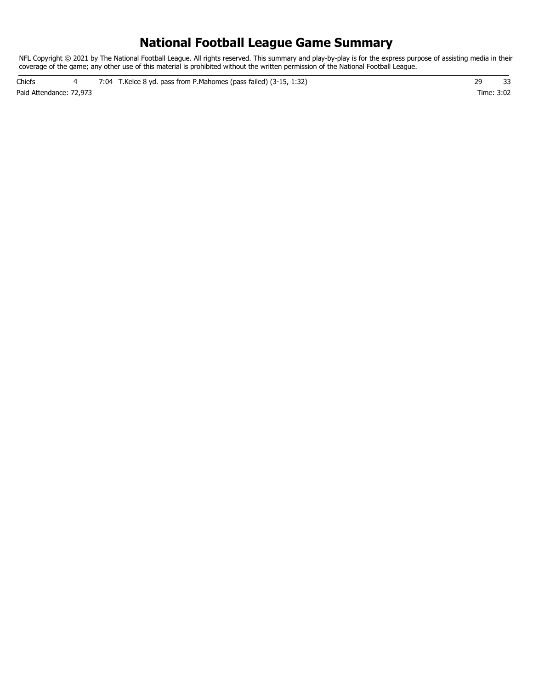# **National Football League Game Summary**

NFL Copyright © 2021 by The National Football League. All rights reserved. This summary and play-by-play is for the express purpose of assisting media in their coverage of the game; any other use of this material is prohibited without the written permission of the National Football League.

Paid Attendance: 72,973 Time: 3:02 Chiefs 4 7:04 T.Kelce 8 yd. pass from P.Mahomes (pass failed) (3-15, 1:32) 29 33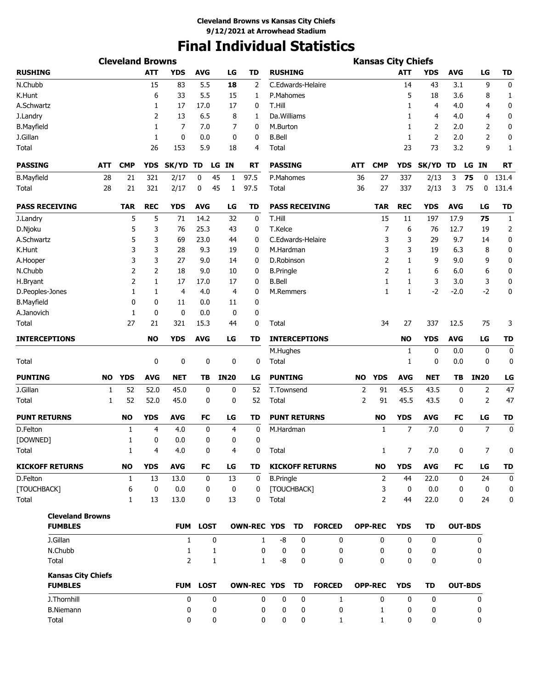# **Final Individual Statistics**

|                       |                                             |            | <b>Cleveland Browns</b> |              |                |                 |    |                |                    |                      |    |                        |            | <b>Kansas City Chiefs</b> |              |            |            |                |                |
|-----------------------|---------------------------------------------|------------|-------------------------|--------------|----------------|-----------------|----|----------------|--------------------|----------------------|----|------------------------|------------|---------------------------|--------------|------------|------------|----------------|----------------|
| <b>RUSHING</b>        |                                             |            |                         | <b>ATT</b>   | <b>YDS</b>     | <b>AVG</b>      |    | LG             | TD                 | <b>RUSHING</b>       |    |                        |            |                           | <b>ATT</b>   | <b>YDS</b> | <b>AVG</b> | LG             | <b>TD</b>      |
| N.Chubb               |                                             |            |                         | 15           | 83             | 5.5             |    | 18             | 2                  | C.Edwards-Helaire    |    |                        |            |                           | 14           | 43         | 3.1        | 9              | 0              |
| K.Hunt                |                                             |            |                         | 6            | 33             | 5.5             |    | 15             | 1                  | P.Mahomes            |    |                        |            |                           | 5            | 18         | 3.6        | 8              | 1              |
| A.Schwartz            |                                             |            |                         | 1            | 17             | 17.0            |    | 17             | 0                  | T.Hill               |    |                        |            |                           | 1            | 4          | 4.0        | 4              | 0              |
| J.Landry              |                                             |            |                         | 2            | 13             | 6.5             |    | 8              | 1                  | Da.Williams          |    |                        |            |                           | 1            | 4          | 4.0        | 4              | 0              |
| <b>B.Mayfield</b>     |                                             |            |                         | 1            | 7              | 7.0             |    | 7              | 0                  | M.Burton             |    |                        |            |                           | 1            | 2          | 2.0        | 2              | 0              |
| J.Gillan              |                                             |            |                         | $\mathbf{1}$ | 0              | 0.0             |    | 0              | 0                  | <b>B.Bell</b>        |    |                        |            |                           | $\mathbf{1}$ | 2          | 2.0        | 2              | 0              |
| Total                 |                                             |            |                         | 26           | 153            | 5.9             |    | 18             | 4                  | Total                |    |                        |            |                           | 23           | 73         | 3.2        | 9              | 1              |
| <b>PASSING</b>        |                                             | <b>ATT</b> | <b>CMP</b>              | <b>YDS</b>   | SK/YD TD       |                 |    | LG IN          | RT                 | <b>PASSING</b>       |    |                        | <b>ATT</b> | <b>CMP</b>                | <b>YDS</b>   | SK/YD TD   |            | IN<br>LG       | RT             |
| <b>B.Mayfield</b>     |                                             | 28         | 21                      | 321          | 2/17           | 0               | 45 | 1              | 97.5               | P.Mahomes            |    |                        | 36         | 27                        | 337          | 2/13       | 3          | 75<br>0        | 131.4          |
| Total                 |                                             | 28         | 21                      | 321          | 2/17           | 0               | 45 | 1              | 97.5               | Total                |    |                        | 36         | 27                        | 337          | 2/13       | 3          | 75<br>0        | 131.4          |
| <b>PASS RECEIVING</b> |                                             |            | <b>TAR</b>              | <b>REC</b>   | <b>YDS</b>     | <b>AVG</b>      |    | LG             | <b>TD</b>          |                      |    | <b>PASS RECEIVING</b>  |            | <b>TAR</b>                | <b>REC</b>   | <b>YDS</b> | <b>AVG</b> | LG             | <b>TD</b>      |
| J.Landry              |                                             |            | 5                       | 5            | 71             | 14.2            |    | 32             | 0                  | T.Hill               |    |                        |            | 15                        | 11           | 197        | 17.9       | 75             | $\mathbf{1}$   |
| D.Njoku               |                                             |            | 5                       | 3            | 76             | 25.3            |    | 43             | 0                  | T.Kelce              |    |                        |            | 7                         | 6            | 76         | 12.7       | 19             | $\overline{2}$ |
| A.Schwartz            |                                             |            | 5                       | 3            | 69             | 23.0            |    | 44             | 0                  | C.Edwards-Helaire    |    |                        |            | 3                         | 3            | 29         | 9.7        | 14             | 0              |
| K.Hunt                |                                             |            | 3                       | 3            | 28             | 9.3             |    | 19             | 0                  | M.Hardman            |    |                        |            | 3                         | 3            | 19         | 6.3        | 8              | 0              |
| A.Hooper              |                                             |            | 3                       | 3            | 27             | 9.0             |    | 14             | 0                  | D.Robinson           |    |                        |            | 2                         | 1            | 9          | 9.0        | 9              | 0              |
| N.Chubb               |                                             |            | 2                       | 2            | 18             | 9.0             |    | 10             | 0                  | <b>B.Pringle</b>     |    |                        |            | $\overline{2}$            | 1            | 6          | 6.0        | 6              | 0              |
| H.Bryant              |                                             |            | 2                       | 1            | 17             | 17.0            |    | 17             | 0                  | <b>B.Bell</b>        |    |                        |            | 1                         | 1            | 3          | 3.0        | 3              | 0              |
| D.Peoples-Jones       |                                             |            | 1                       | 1            | 4              | 4.0             |    | 4              | 0                  | M.Remmers            |    |                        |            | $\mathbf{1}$              | $\mathbf{1}$ | $-2$       | $-2.0$     | $-2$           | 0              |
| <b>B.Mayfield</b>     |                                             |            | 0                       | 0            | 11             | 0.0             |    | 11             | 0                  |                      |    |                        |            |                           |              |            |            |                |                |
| A.Janovich            |                                             |            | 1                       | 0            | 0              | 0.0             |    | 0              | 0                  |                      |    |                        |            |                           |              |            |            |                |                |
| Total                 |                                             |            | 27                      | 21           | 321            | 15.3            |    | 44             | 0                  | Total                |    |                        |            | 34                        | 27           | 337        | 12.5       | 75             | 3              |
| <b>INTERCEPTIONS</b>  |                                             |            |                         | <b>NO</b>    | <b>YDS</b>     | <b>AVG</b>      |    | LG             | TD                 | <b>INTERCEPTIONS</b> |    |                        |            |                           | <b>NO</b>    | <b>YDS</b> | <b>AVG</b> | LG             | <b>TD</b>      |
|                       |                                             |            |                         |              |                |                 |    |                |                    | M.Hughes             |    |                        |            |                           | 1            | 0          | 0.0        | 0              | 0              |
| Total                 |                                             |            |                         | 0            | 0              | 0               |    | 0              | 0                  | Total                |    |                        |            |                           | 1            | 0          | 0.0        | 0              | 0              |
| <b>PUNTING</b>        |                                             | NO         | <b>YDS</b>              | <b>AVG</b>   | <b>NET</b>     | ΤВ              |    | <b>IN20</b>    | LG                 | <b>PUNTING</b>       |    |                        | NO.        | <b>YDS</b>                | <b>AVG</b>   | <b>NET</b> | TΒ         | <b>IN20</b>    | LG             |
| J.Gillan              |                                             | 1          | 52                      | 52.0         | 45.0           | 0               |    | 0              | 52                 | T.Townsend           |    |                        | 2          | 91                        | 45.5         | 43.5       | 0          | 2              | 47             |
| Total                 |                                             | 1          | 52                      | 52.0         | 45.0           | 0               |    | 0              | 52                 | Total                |    |                        | 2          | 91                        | 45.5         | 43.5       | 0          | 2              | 47             |
| <b>PUNT RETURNS</b>   |                                             |            | <b>NO</b>               | <b>YDS</b>   | <b>AVG</b>     | <b>FC</b>       |    | LG             | TD                 | <b>PUNT RETURNS</b>  |    |                        |            | <b>NO</b>                 | <b>YDS</b>   | <b>AVG</b> | FC         | LG             | <b>TD</b>      |
| D.Felton              |                                             |            | 1                       | 4            | 4.0            | 0               |    | $\overline{4}$ | 0                  | M.Hardman            |    |                        |            | 1                         | 7            | 7.0        | 0          | 7              | 0              |
| [DOWNED]              |                                             |            | 1                       | 0            | 0.0            | 0               |    | 0              | 0                  |                      |    |                        |            |                           |              |            |            |                |                |
| Total                 |                                             |            | 1                       | 4            | 4.0            | 0               |    | 4              | 0                  | Total                |    |                        |            | $\mathbf{1}$              | 7            | 7.0        | 0          | 7              | 0              |
|                       | <b>KICKOFF RETURNS</b>                      |            | <b>NO</b>               | <b>YDS</b>   | <b>AVG</b>     | FC              |    | LG             | TD                 |                      |    | <b>KICKOFF RETURNS</b> |            | <b>NO</b>                 | <b>YDS</b>   | <b>AVG</b> | FC         | LG             | <b>TD</b>      |
| D.Felton              |                                             |            | 1                       | 13           | 13.0           | 0               |    | 13             | 0                  | <b>B.Pringle</b>     |    |                        |            | $\overline{2}$            | 44           | 22.0       | 0          | 24             | 0              |
| [TOUCHBACK]           |                                             |            | 6                       | $\mathbf 0$  | 0.0            | 0               |    | 0              | 0                  | [TOUCHBACK]          |    |                        |            | 3                         | 0            | 0.0        | 0          | 0              | 0              |
| Total                 |                                             |            | 1                       | 13           | 13.0           | 0               |    | 13             | 0                  | Total                |    |                        |            | $\overline{2}$            | 44           | 22.0       | 0          | 24             | 0              |
|                       | <b>Cleveland Browns</b><br><b>FUMBLES</b>   |            |                         |              |                | <b>FUM LOST</b> |    |                | <b>OWN-REC YDS</b> |                      | TD | <b>FORCED</b>          |            | <b>OPP-REC</b>            | <b>YDS</b>   | <b>TD</b>  |            | <b>OUT-BDS</b> |                |
|                       | J.Gillan                                    |            |                         |              | $\mathbf{1}$   |                 | 0  |                | $\mathbf{1}$       | -8                   | 0  | 0                      |            | 0                         | 0            | 0          |            | 0              |                |
|                       | N.Chubb                                     |            |                         |              | 1              |                 | 1  |                | 0                  | 0                    | 0  | 0                      |            | 0                         | 0            | 0          |            | 0              |                |
|                       | Total                                       |            |                         |              | $\overline{2}$ |                 | 1  |                | 1                  | -8                   | 0  | $\mathbf{0}$           |            | 0                         | 0            | 0          |            | 0              |                |
|                       |                                             |            |                         |              |                |                 |    |                |                    |                      |    |                        |            |                           |              |            |            |                |                |
|                       | <b>Kansas City Chiefs</b><br><b>FUMBLES</b> |            |                         |              |                | <b>FUM LOST</b> |    |                | <b>OWN-REC YDS</b> |                      | TD | <b>FORCED</b>          |            | <b>OPP-REC</b>            | <b>YDS</b>   | <b>TD</b>  |            | <b>OUT-BDS</b> |                |
|                       | J.Thornhill                                 |            |                         |              | 0              |                 | 0  |                | 0                  | 0                    | 0  | $\mathbf{1}$           |            | 0                         | 0            | 0          |            | 0              |                |
|                       | <b>B.Niemann</b>                            |            |                         |              | 0              |                 | 0  |                | 0                  | 0                    | 0  | 0                      |            | 1                         | 0            | 0          |            | 0              |                |
|                       | Total                                       |            |                         |              | 0              |                 | 0  |                | 0                  | 0                    | 0  | 1                      |            | 1                         | 0            | 0          |            | 0              |                |
|                       |                                             |            |                         |              |                |                 |    |                |                    |                      |    |                        |            |                           |              |            |            |                |                |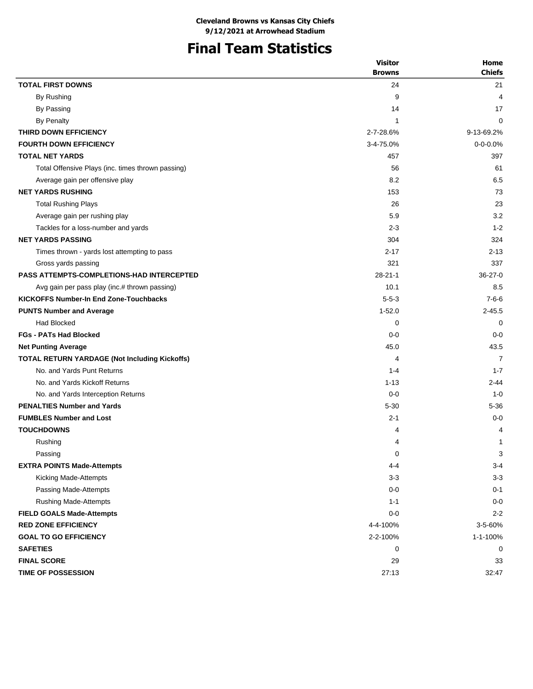# **Final Team Statistics**

|                                                      | <b>Visitor</b> | Home           |
|------------------------------------------------------|----------------|----------------|
|                                                      | <b>Browns</b>  | <b>Chiefs</b>  |
| <b>TOTAL FIRST DOWNS</b>                             | 24             | 21             |
| By Rushing                                           | 9              | 4              |
| By Passing                                           | 14             | 17             |
| By Penalty                                           | 1              | 0              |
| <b>THIRD DOWN EFFICIENCY</b>                         | 2-7-28.6%      | 9-13-69.2%     |
| <b>FOURTH DOWN EFFICIENCY</b>                        | 3-4-75.0%      | $0 - 0 - 0.0%$ |
| <b>TOTAL NET YARDS</b>                               | 457            | 397            |
| Total Offensive Plays (inc. times thrown passing)    | 56             | 61             |
| Average gain per offensive play                      | 8.2            | 6.5            |
| <b>NET YARDS RUSHING</b>                             | 153            | 73             |
| <b>Total Rushing Plays</b>                           | 26             | 23             |
| Average gain per rushing play                        | 5.9            | 3.2            |
| Tackles for a loss-number and yards                  | $2 - 3$        | $1 - 2$        |
| <b>NET YARDS PASSING</b>                             | 304            | 324            |
| Times thrown - yards lost attempting to pass         | $2 - 17$       | $2 - 13$       |
| Gross yards passing                                  | 321            | 337            |
| <b>PASS ATTEMPTS-COMPLETIONS-HAD INTERCEPTED</b>     | $28 - 21 - 1$  | $36-27-0$      |
| Avg gain per pass play (inc.# thrown passing)        | 10.1           | 8.5            |
| <b>KICKOFFS Number-In End Zone-Touchbacks</b>        | $5 - 5 - 3$    | $7 - 6 - 6$    |
| <b>PUNTS Number and Average</b>                      | $1 - 52.0$     | $2 - 45.5$     |
| <b>Had Blocked</b>                                   | 0              | $\Omega$       |
| <b>FGs - PATs Had Blocked</b>                        | $0 - 0$        | $0 - 0$        |
| <b>Net Punting Average</b>                           | 45.0           | 43.5           |
| <b>TOTAL RETURN YARDAGE (Not Including Kickoffs)</b> | 4              | 7              |
| No. and Yards Punt Returns                           | $1 - 4$        | $1 - 7$        |
| No. and Yards Kickoff Returns                        | $1 - 13$       | $2 - 44$       |
| No. and Yards Interception Returns                   | $0 - 0$        | $1 - 0$        |
| <b>PENALTIES Number and Yards</b>                    | $5 - 30$       | $5 - 36$       |
| <b>FUMBLES Number and Lost</b>                       | $2 - 1$        | $0 - 0$        |
| <b>TOUCHDOWNS</b>                                    | 4              | 4              |
| Rushing                                              | 4              | 1              |
| Passing                                              | 0              | 3              |
| <b>EXTRA POINTS Made-Attempts</b>                    | 4-4            | $3-4$          |
| Kicking Made-Attempts                                | $3-3$          | $3-3$          |
| Passing Made-Attempts                                | $0-0$          | $0 - 1$        |
| <b>Rushing Made-Attempts</b>                         | $1 - 1$        | $0-0$          |
| <b>FIELD GOALS Made-Attempts</b>                     | $0-0$          | $2 - 2$        |
| <b>RED ZONE EFFICIENCY</b>                           | 4-4-100%       | 3-5-60%        |
| <b>GOAL TO GO EFFICIENCY</b>                         | 2-2-100%       | 1-1-100%       |
| <b>SAFETIES</b>                                      | 0              | 0              |
| <b>FINAL SCORE</b>                                   | 29             | 33             |
| <b>TIME OF POSSESSION</b>                            | 27:13          | 32:47          |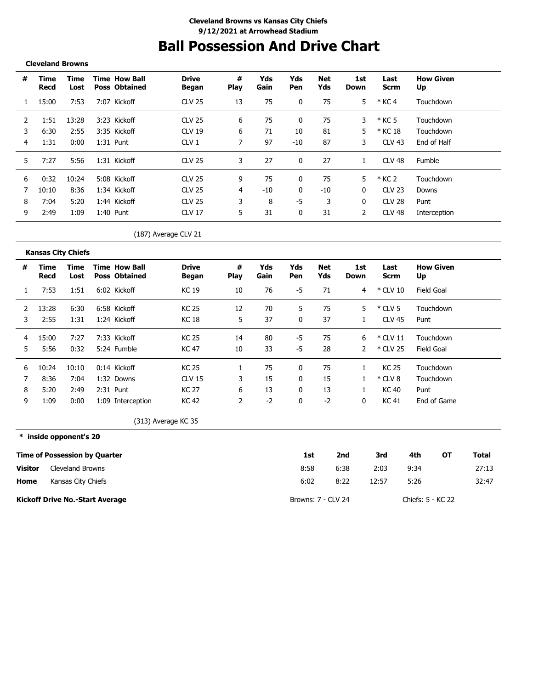# **Ball Possession And Drive Chart**

#### **Cleveland Browns**

**Kansas City Chiefs**

\_\_\_\_\_\_\_\_\_\_\_\_\_\_\_\_\_\_\_\_\_\_\_\_\_\_\_\_

| # | Time<br>Recd | Time<br>Lost | <b>Time How Ball</b><br>Poss Obtained | <b>Drive</b><br>Began | #<br>Play | Yds<br>Gain | Yds<br>Pen | Net<br>Yds | 1st<br>Down | Last<br>Scrm      | <b>How Given</b><br>Up |
|---|--------------|--------------|---------------------------------------|-----------------------|-----------|-------------|------------|------------|-------------|-------------------|------------------------|
|   | 15:00        | 7:53         | 7:07 Kickoff                          | <b>CLV 25</b>         | 13        | 75          | 0          | 75         | 5           | $*$ KC 4          | Touchdown              |
|   | 1:51         | 13:28        | 3:23 Kickoff                          | <b>CLV 25</b>         | 6         | 75          | 0          | 75         | 3           | $*$ KC 5          | Touchdown              |
| 3 | 6:30         | 2:55         | 3:35 Kickoff                          | CLV 19                | 6         | 71          | 10         | 81         | 5           | * KC 18           | Touchdown              |
| 4 | 1:31         | 0:00         | 1:31 Punt                             | CLV <sub>1</sub>      |           | 97          | $-10$      | 87         | 3           | CLV 43            | End of Half            |
| 5 | 7:27         | 5:56         | 1:31 Kickoff                          | CI V 25               | 3         | 27          |            | 27         |             | CLV 48            | Fumble                 |
| 6 | 0:32         | 10:24        | 5:08 Kickoff                          | CIV.25                | 9         | 75          | 0          | 75         | 5.          | * KC 2            | Touchdown              |
|   | 10:10        | 8:36         | 1:34 Kickoff                          | <b>CLV 25</b>         | 4         | $-10$       | 0          | -10        | 0           | <b>CLV 23</b>     | Downs                  |
| 8 | 7:04         | 5:20         | 1:44 Kickoff                          | <b>CLV 25</b>         |           | 8           | -5         | 3          | 0           | CLV <sub>28</sub> | Punt                   |
| 9 | 2:49         | 1:09         | 1:40<br>Punt                          | CI V 17               | 5         | 31          | 0          | 31         | 2           | CLV <sub>48</sub> | Interception           |

(187) Average CLV 21

|   | Kansas City Chicis |              |                                              |                       |                  |             |            |            |             |                     |                        |
|---|--------------------|--------------|----------------------------------------------|-----------------------|------------------|-------------|------------|------------|-------------|---------------------|------------------------|
| # | Time<br>Recd       | Time<br>Lost | <b>Time How Ball</b><br><b>Poss Obtained</b> | <b>Drive</b><br>Began | #<br><b>Play</b> | Yds<br>Gain | Yds<br>Pen | Net<br>Yds | 1st<br>Down | Last<br><b>Scrm</b> | <b>How Given</b><br>Up |
|   | 7:53               | 1:51         | 6:02 Kickoff                                 | KC 19                 | 10               | 76          | -5         | 71         | 4           | $*$ CLV 10          | Field Goal             |
|   | 13:28              | 6:30         | 6:58 Kickoff                                 | <b>KC 25</b>          | 12               | 70          | 5          | 75         | 5.          | $*$ CLV 5           | Touchdown              |
| 3 | 2:55               | 1:31         | 1:24 Kickoff                                 | KC 18                 | 5                | 37          | 0          | 37         |             | CLV 45              | Punt                   |
| 4 | 15:00              | 7:27         | 7:33 Kickoff                                 | <b>KC 25</b>          | 14               | 80          | -5         | 75         | 6           | $*$ CLV 11          | Touchdown              |
| 5 | 5:56               | 0:32         | 5:24 Fumble                                  | KC 47                 | 10               | 33          | -5         | 28         |             | * CLV 25            | Field Goal             |
| 6 | 10:24              | 10:10        | $0:14$ Kickoff                               | KC 25                 |                  | 75          | 0          | 75         |             | KC 25               | Touchdown              |
|   | 8:36               | 7:04         | 1:32 Downs                                   | <b>CLV 15</b>         | 3                | 15          | 0          | 15         |             | $*$ CLV 8           | Touchdown              |
| 8 | 5:20               | 2:49         | 2:31 Punt                                    | KC 27                 | 6                | 13          | 0          | 13         |             | KC 40               | Punt                   |
| 9 | :09                | 0:00         | 1:09 Interception                            | <b>KC 42</b>          | 2                | $-2$        | 0          | $-2$       | 0           | <b>KC 41</b>        | End of Game            |

(313) Average KC 35

**\* inside opponent's 20 Time of Possession by Quarter Home Visitor 1st 2nd 3rd 4th OT Total** 8:58 6:02 6:38 2:03 9:34 27:13 8:22 12:57 5:26 32:47 Cleveland Browns Kansas City Chiefs

**Kickoff Drive No.-Start Average**

Browns: 7 - CLV 24 Chiefs: 5 - KC 22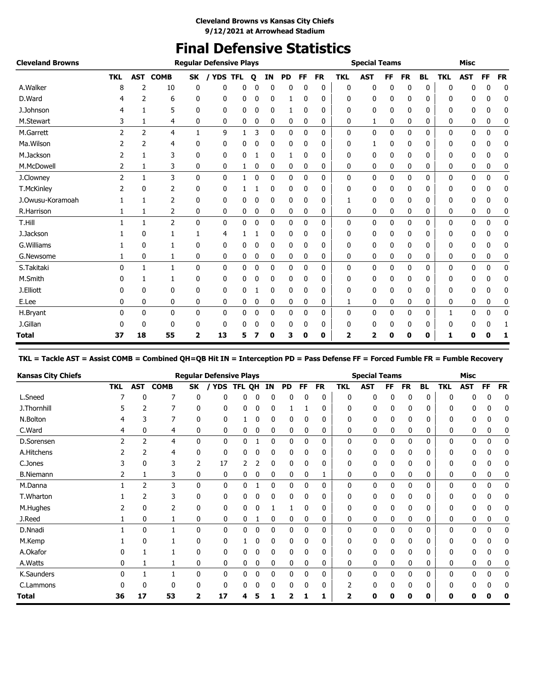# **Final Defensive Statistics**

| <b>Cleveland Browns</b> |                |                |                |                         | <b>Regular Defensive Plays</b> |              |             |    |           |              |           |              | <b>Special Teams</b> |           |           |           |            | <b>Misc</b> |           |              |
|-------------------------|----------------|----------------|----------------|-------------------------|--------------------------------|--------------|-------------|----|-----------|--------------|-----------|--------------|----------------------|-----------|-----------|-----------|------------|-------------|-----------|--------------|
|                         | <b>TKL</b>     | <b>AST</b>     | <b>COMB</b>    | SK                      | / YDS TFL                      |              | $\mathbf o$ | IN | <b>PD</b> | <b>FF</b>    | <b>FR</b> | <b>TKL</b>   | <b>AST</b>           | <b>FF</b> | <b>FR</b> | <b>BL</b> | <b>TKL</b> | <b>AST</b>  | <b>FF</b> | <b>FR</b>    |
| A.Walker                | 8              | 2              | 10             | 0                       | 0                              | 0            | 0           | 0  | 0         | 0            | 0         | 0            | 0                    | 0         | 0         | 0         | 0          | 0           | 0         | 0            |
| D.Ward                  |                | 2              | 6              | 0                       | 0                              | 0            | 0           | 0  | 1         | 0            | 0         | 0            | 0                    | 0         | 0         | 0         | n          | 0           | 0         | 0            |
| J.Johnson               |                | 1              | 5              | 0                       | 0                              | 0            | 0           | 0  | 1         | 0            | 0         | 0            | 0                    | 0         | 0         | 0         | 0          | 0           | 0         | 0            |
| M.Stewart               | 3              | 1              | 4              | 0                       | 0                              | 0            | 0           | 0  | 0         | 0            | 0         | 0            | 1                    | 0         | 0         | 0         | 0          | 0           | 0         | 0            |
| M.Garrett               | 2              | $\overline{2}$ | $\overline{4}$ | 1                       | 9                              | 1            | 3           | 0  | 0         | $\mathbf{0}$ | 0         | 0            | 0                    | 0         | 0         | 0         | 0          | 0           | 0         | $\mathbf 0$  |
| Ma. Wilson              |                | 2              | 4              | 0                       | 0                              | 0            | 0           | 0  | 0         | 0            | 0         | 0            | 1                    | 0         | 0         | 0         | 0          | 0           | n         | 0            |
| M.Jackson               | 2              | 1              | 3              | 0                       | 0                              | 0            |             | 0  |           | 0            | 0         | 0            | 0                    | 0         | 0         | 0         | 0          | 0           | 0         | 0            |
| M.McDowell              | 2              | 1              | 3              | 0                       | 0                              | 1            | 0           | 0  | 0         | 0            | 0         | 0            | 0                    | 0         | 0         | 0         | 0          | 0           | 0         | 0            |
| J.Clowney               | $\overline{2}$ | $\mathbf{1}$   | 3              | $\mathbf{0}$            | 0                              | $\mathbf{1}$ | 0           | 0  | 0         | 0            | 0         | $\mathbf{0}$ | 0                    | 0         | 0         | 0         | 0          | 0           | 0         | $\mathbf{0}$ |
| T.McKinley              |                | 0              | 2              | 0                       | 0                              |              |             | 0  | 0         | 0            | 0         | 0            | 0                    | 0         | 0         | 0         | 0          | 0           | 0         | 0            |
| J.Owusu-Koramoah        |                | 1              | 2              | 0                       | 0                              | 0            | 0           | 0  | 0         | 0            | 0         | 1            | 0                    | 0         | 0         | 0         | 0          | 0           | 0         | 0            |
| R.Harrison              |                | 1              | 2              | 0                       | 0                              | 0            | 0           | 0  | 0         | 0            | 0         | 0            | 0                    | 0         | 0         | 0         | 0          | 0           | 0         | 0            |
| T.Hill                  |                | 1              | $\overline{2}$ | $\mathbf{0}$            | 0                              | 0            | 0           | 0  | 0         | 0            | 0         | $\mathbf{0}$ | 0                    | 0         | 0         | 0         | 0          | 0           | 0         | 0            |
| J.Jackson               |                | 0              |                |                         | 4                              |              |             | 0  | 0         | 0            | 0         | 0            | 0                    | 0         | 0         | 0         | 0          | 0           | 0         | 0            |
| G. Williams             |                | 0              | 1              | $\mathbf{0}$            | 0                              | 0            | 0           | 0  | 0         | 0            | 0         | 0            | 0                    | 0         | 0         | 0         | 0          | 0           | 0         | 0            |
| G.Newsome               |                | 0              | 1              | 0                       | 0                              | 0            | 0           | 0  | 0         | 0            | 0         | 0            | 0                    | 0         | 0         | 0         | 0          | 0           | 0         | 0            |
| S.Takitaki              | 0              | 1              | $\mathbf{1}$   | $\mathbf{0}$            | 0                              | 0            | 0           | 0  | 0         | 0            | 0         | 0            | 0                    | 0         | 0         | 0         | 0          | 0           | 0         | 0            |
| M.Smith                 |                | 1              | 1              | 0                       | 0                              | 0            | 0           | 0  | 0         | 0            | 0         | 0            | 0                    | 0         | 0         | 0         | ŋ          | 0           | n         | 0            |
| J.Elliott               |                | 0              | 0              | 0                       | 0                              | 0            |             | 0  | 0         | 0            | 0         | 0            | 0                    | 0         | 0         | 0         | 0          | 0           | 0         | 0            |
| E.Lee                   | 0              | 0              | 0              | 0                       | 0                              | 0            | 0           | 0  | 0         | 0            | 0         | 1            | 0                    | 0         | 0         | 0         | 0          | 0           | 0         | 0            |
| H.Bryant                | 0              | $\mathbf{0}$   | 0              | 0                       | 0                              | 0            | 0           | 0  | 0         | $\mathbf{0}$ | 0         | 0            | 0                    | 0         | 0         | 0         |            | 0           | 0         | 0            |
| J.Gillan                |                | 0              | $\mathbf{0}$   | 0                       | 0                              | 0            | 0           | 0  | 0         | 0            | 0         | 0            | 0                    | 0         | 0         | 0         | 0          | 0           | 0         | 1            |
| <b>Total</b>            | 37             | 18             | 55             | $\overline{\mathbf{2}}$ | 13                             | 5            |             | 0  | 3         | 0            | 0         | 2            | 2                    | 0         | 0         | 0         | 1          | 0           | 0         | 1            |

**TKL = Tackle AST = Assist COMB = Combined QH=QB Hit IN = Interception PD = Pass Defense FF = Forced Fumble FR = Fumble Recovery**

| <b>Kansas City Chiefs</b> |            |            |             |          | <b>Regular Defensive Plays</b> |        |   |    |    |    |           |              | <b>Special Teams</b> |     |           |           |            | <b>Misc</b>  |    |           |
|---------------------------|------------|------------|-------------|----------|--------------------------------|--------|---|----|----|----|-----------|--------------|----------------------|-----|-----------|-----------|------------|--------------|----|-----------|
|                           | <b>TKL</b> | <b>AST</b> | <b>COMB</b> | SK       | <b>YDS</b>                     | TFL QH |   | ΙN | PD | FF | <b>FR</b> | TKL          | <b>AST</b>           | FF. | <b>FR</b> | <b>BL</b> | <b>TKL</b> | <b>AST</b>   | FF | <b>FR</b> |
| L.Sneed                   |            | 0          | 7           | 0        | ŋ                              | ŋ      | 0 | 0  | 0  | 0  | 0         | 0            | 0                    | 0   | 0         | 0         |            |              | U  | 0         |
| J.Thornhill               |            | 2          |             | 0        | 0                              | 0      | 0 | 0  |    |    | 0         | 0            | 0                    | 0   | 0         | 0         | 0          |              | 0  | C         |
| N.Bolton                  |            |            |             | 0        | 0                              |        | 0 | 0  | 0  | 0  | 0         | 0            | 0                    | 0   | 0         | 0         | 0          |              |    | 0         |
| C.Ward                    | 4          | 0          | 4           | 0        | 0                              | 0      | 0 | 0  | 0  | 0  | 0         | 0            | 0                    | 0   | 0         | 0         | 0          | 0            | 0  |           |
| D.Sorensen                | 2          | 2          | 4           | 0        | 0                              | 0      |   | 0  | 0  | 0  | 0         | 0            | 0                    | 0   | 0         | 0         | 0          | 0            | 0  | 0         |
| A.Hitchens                |            | 2          | 4           | 0        | 0                              | 0      | 0 | 0  | 0  | 0  | 0         | 0            | 0                    | 0   | 0         | 0         | 0          | 0            | 0  | 0         |
| C.Jones                   |            | 0          | 3           |          | 17                             |        |   | 0  | 0  | 0  | 0         | 0            | 0                    | 0   | 0         | 0         | n          | 0            | 0  | 0         |
| <b>B.Niemann</b>          |            |            | 3           | 0        | 0                              | 0      | 0 | 0  | 0  | 0  |           | 0            | 0                    | 0   | 0         | 0         | 0          | 0            | 0  |           |
| M.Danna                   |            | 2          | 3           | 0        | 0                              | 0      |   | 0  | 0  | 0  | 0         | 0            | 0                    | 0   | 0         | 0         | 0          | 0            | 0  | 0         |
| T.Wharton                 |            | 2          | 3           | 0        | 0                              | 0      | 0 | 0  | 0  | 0  | 0         | 0            | 0                    | 0   | 0         | 0         | 0          | 0            | 0  | 0         |
| M.Hughes                  |            | 0          |             | 0        | 0                              | 0      | 0 |    |    | 0  | 0         | 0            | 0                    | 0   | 0         | 0         | n          |              | 0  | C         |
| J.Reed                    |            | 0          |             | 0        | 0                              | 0      |   | 0  | 0  | 0  | 0         | 0            | 0                    | 0   | 0         | 0         | 0          | 0            | 0  |           |
| D.Nnadi                   |            | 0          |             | 0        | 0                              | 0      | 0 | 0  | 0  | 0  | 0         | $\mathbf{0}$ | 0                    | 0   | $\Omega$  | 0         | 0          | <sup>0</sup> | 0  | 0         |
| M.Kemp                    |            | $\Omega$   |             | $\Omega$ | 0                              |        | 0 | 0  | 0  | 0  | 0         | 0            | 0                    | 0   | $\Omega$  | 0         | n          |              |    | 0         |
| A.Okafor                  |            |            |             | 0        | 0                              | 0      | 0 | 0  | 0  | 0  | 0         | 0            | 0                    | 0   | 0         | 0         | n          |              |    | 0         |
| A.Watts                   | 0          |            |             | 0        | 0                              | 0      | 0 | 0  | 0  | 0  | 0         | 0            | 0                    | 0   | 0         | 0         | 0          | 0            | 0  |           |
| K.Saunders                | U          |            |             | 0        | 0                              | 0      | 0 | 0  | 0  | 0  | 0         | 0            | 0                    | 0   | 0         | 0         | 0          | n            | 0  | 0         |
| C.Lammons                 |            |            | $\Omega$    | n        | 0                              |        | 0 |    | 0  | 0  | 0         | 2            | 0                    | 0   | O         | 0         | n          |              |    | 0         |
| Total                     | 36         | 17         | 53          | 2        | 17                             | 4      |   |    |    |    |           | 2            | ŋ                    |     | 0         | 0         |            |              |    |           |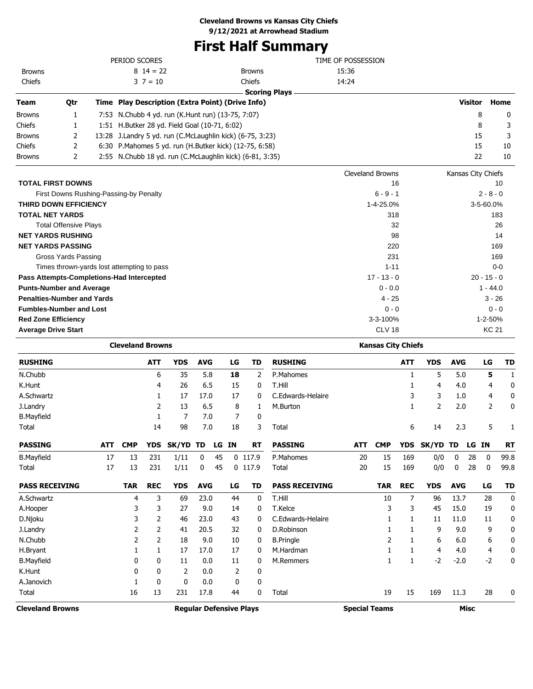# **First Half Summary**

|                                   |                              | PERIOD SCORES                                             |            |            |    |               |                      | TIME OF POSSESSION        |            |                    |                |              |
|-----------------------------------|------------------------------|-----------------------------------------------------------|------------|------------|----|---------------|----------------------|---------------------------|------------|--------------------|----------------|--------------|
| <b>Browns</b>                     |                              | $8 \t14 = 22$                                             |            |            |    | <b>Browns</b> |                      | 15:36                     |            |                    |                |              |
| Chiefs                            |                              | $3 \t7 = 10$                                              |            |            |    | Chiefs        |                      | 14:24                     |            |                    |                |              |
|                                   |                              |                                                           |            |            |    |               | <b>Scoring Plays</b> |                           |            |                    |                |              |
| Team                              | Qtr                          | Time Play Description (Extra Point) (Drive Info)          |            |            |    |               |                      |                           |            | <b>Visitor</b>     |                | Home         |
| <b>Browns</b>                     | 1                            | 7:53 N.Chubb 4 yd. run (K.Hunt run) (13-75, 7:07)         |            |            |    |               |                      |                           |            |                    | 8              | 0            |
| Chiefs                            | 1                            | 1:51 H.Butker 28 yd. Field Goal (10-71, 6:02)             |            |            |    |               |                      |                           |            |                    | 8              | 3            |
| <b>Browns</b>                     | 2                            | 13:28 J.Landry 5 yd. run (C.McLaughlin kick) (6-75, 3:23) |            |            |    |               |                      |                           |            |                    | 15             | 3            |
| Chiefs                            | 2                            | 6:30 P.Mahomes 5 yd. run (H.Butker kick) (12-75, 6:58)    |            |            |    |               |                      |                           |            |                    | 15             | 10           |
| <b>Browns</b>                     | 2                            | 2:55 N.Chubb 18 yd. run (C.McLaughlin kick) (6-81, 3:35)  |            |            |    |               |                      |                           |            |                    | 22             | 10           |
|                                   |                              |                                                           |            |            |    |               |                      | <b>Cleveland Browns</b>   |            | Kansas City Chiefs |                |              |
| <b>TOTAL FIRST DOWNS</b>          |                              |                                                           |            |            |    |               |                      | 16                        |            |                    |                | 10           |
|                                   |                              | First Downs Rushing-Passing-by Penalty                    |            |            |    |               |                      | $6 - 9 - 1$               |            |                    | $2 - 8 - 0$    |              |
| <b>THIRD DOWN EFFICIENCY</b>      |                              |                                                           |            |            |    |               |                      | 1-4-25.0%                 |            |                    | 3-5-60.0%      |              |
| <b>TOTAL NET YARDS</b>            |                              |                                                           |            |            |    |               |                      | 318                       |            |                    |                | 183          |
|                                   | <b>Total Offensive Plays</b> |                                                           |            |            |    |               |                      | 32                        |            |                    |                | 26           |
| <b>NET YARDS RUSHING</b>          |                              |                                                           |            |            |    |               |                      | 98                        |            |                    |                | 14           |
| <b>NET YARDS PASSING</b>          |                              |                                                           |            |            |    |               |                      | 220                       |            |                    |                | 169          |
|                                   | <b>Gross Yards Passing</b>   |                                                           |            |            |    |               |                      | 231                       |            |                    |                | 169          |
|                                   |                              | Times thrown-yards lost attempting to pass                |            |            |    |               |                      | $1 - 11$                  |            |                    |                | $0 - 0$      |
|                                   |                              | Pass Attempts-Completions-Had Intercepted                 |            |            |    |               |                      | $17 - 13 - 0$             |            |                    | $20 - 15 - 0$  |              |
| <b>Punts-Number and Average</b>   |                              |                                                           |            |            |    |               |                      | $0 - 0.0$                 |            |                    | $1 - 44.0$     |              |
| <b>Penalties-Number and Yards</b> |                              |                                                           |            |            |    |               |                      | 4 - 25                    |            |                    | $3 - 26$       |              |
| <b>Fumbles-Number and Lost</b>    |                              |                                                           |            |            |    |               |                      | $0 - 0$                   |            |                    |                | $0 - 0$      |
| <b>Red Zone Efficiency</b>        |                              |                                                           |            |            |    |               |                      | 3-3-100%                  |            |                    | 1-2-50%        |              |
| <b>Average Drive Start</b>        |                              |                                                           |            |            |    |               |                      | <b>CLV 18</b>             |            |                    | <b>KC 21</b>   |              |
|                                   |                              | <b>Cleveland Browns</b>                                   |            |            |    |               |                      | <b>Kansas City Chiefs</b> |            |                    |                |              |
| <b>RUSHING</b>                    |                              | <b>ATT</b>                                                | <b>YDS</b> | <b>AVG</b> | LG | <b>TD</b>     | <b>RUSHING</b>       | <b>ATT</b>                | <b>YDS</b> | <b>AVG</b>         | LG             | <b>TD</b>    |
| N.Chubb                           |                              | 6                                                         | 35         | 5.8        | 18 | 2             | P.Mahomes            | $\mathbf{1}$              | 5          | 5.0                | 5              | $\mathbf{1}$ |
| K.Hunt                            |                              | 4                                                         | 26         | 6.5        | 15 | 0             | T.Hill               | 1                         | 4          | 4.0                | 4              | 0            |
| A.Schwartz                        |                              | $\mathbf{1}$                                              | 17         | 17.0       | 17 | $\mathbf{0}$  | C.Edwards-Helaire    | 3                         | 3          | 1.0                | 4              | 0            |
| J.Landry                          |                              | $\overline{2}$                                            | 13         | 6.5        | 8  | 1             | M.Burton             | 1                         | 2          | 2.0                | $\overline{2}$ | 0            |

| Total                 |     |            | 14         | 98         | 7.0        |    | 18 | 3         | Total                 |     |            | 6          | 14       | 2.3        |    | 5    |           |
|-----------------------|-----|------------|------------|------------|------------|----|----|-----------|-----------------------|-----|------------|------------|----------|------------|----|------|-----------|
| <b>PASSING</b>        | ATT | <b>CMP</b> | <b>YDS</b> | SK/YD TD   |            | LG | ΙN | RT        | <b>PASSING</b>        | ATT | <b>CMP</b> | <b>YDS</b> | SK/YD TD |            | LG | IN.  | <b>RT</b> |
| <b>B.Mayfield</b>     | 17  | 13         | 231        | 1/11       | 0          | 45 |    | $0$ 117.9 | P.Mahomes             | 20  | 15         | 169        | 0/0      | 0          | 28 | 0    | 99.8      |
| Total                 | 17  | 13         | 231        | 1/11       | 0          | 45 |    | $0$ 117.9 | Total                 | 20  | 15         | 169        | 0/0      | 0          | 28 | 0    | 99.8      |
| <b>PASS RECEIVING</b> |     | TAR        | <b>REC</b> | <b>YDS</b> | <b>AVG</b> |    | LG | TD        | <b>PASS RECEIVING</b> |     | <b>TAR</b> | <b>REC</b> | YDS      | <b>AVG</b> |    | LG   | <b>TD</b> |
| A.Schwartz            |     | 4          | 3          | 69         | 23.0       |    | 44 | 0         | T.Hill                |     | 10         | 7          | 96       | 13.7       |    | 28   | 0         |
| A.Hooper              |     | 3          | 3          | 27         | 9.0        |    | 14 | 0         | T.Kelce               |     | 3          | 3          | 45       | 15.0       |    | 19   | 0         |
| D.Njoku               |     | 3          | 2          | 46         | 23.0       |    | 43 | 0         | C.Edwards-Helaire     |     |            |            | 11       | 11.0       |    | 11   | 0         |
| J.Landry              |     |            | 2          | 41         | 20.5       |    | 32 | 0         | D.Robinson            |     |            |            | 9        | 9.0        |    | 9    | 0         |
| N.Chubb               |     | 2          |            | 18         | 9.0        |    | 10 | 0         | <b>B.Pringle</b>      |     |            |            | 6        | 6.0        |    | 6    | 0         |
| H.Bryant              |     |            |            | 17         | 17.0       |    | 17 | 0         | M.Hardman             |     |            |            | 4        | 4.0        |    | 4    | 0         |
| <b>B.Mayfield</b>     |     | 0          | 0          | 11         | 0.0        |    | 11 | 0         | M.Remmers             |     |            |            | $-2$     | $-2.0$     |    | $-2$ | 0         |
| K.Hunt                |     | 0          | 0          | 2          | 0.0        |    | 2  | 0         |                       |     |            |            |          |            |    |      |           |
| A.Janovich            |     |            | 0          | 0          | 0.0        |    | 0  | 0         |                       |     |            |            |          |            |    |      |           |
| Total                 |     | 16         | 13         | 231        | 17.8       |    | 44 | 0         | Total                 |     | 19         | 15         | 169      | 11.3       |    | 28   | 0         |

**Cleveland Browns Regular Defensive Plays Special Teams Misc**

B.Mayfield 1 7 7.0 7 0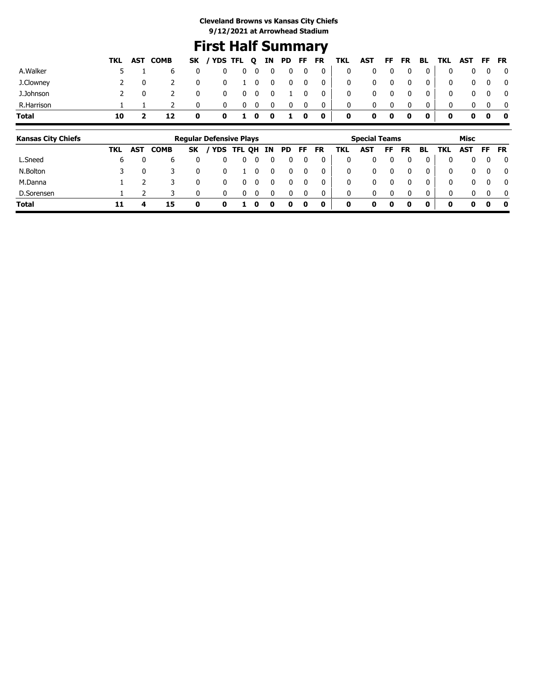# **First Half Summary**

|              |    | TKL AST COMB |             | SK / YDS TFL Q IN PD FF FR TKL AST FF FR BL TKL AST FF FR |                          |            |              |            |              |                                                          |                |              |                         |                         |                |              |            |                         |
|--------------|----|--------------|-------------|-----------------------------------------------------------|--------------------------|------------|--------------|------------|--------------|----------------------------------------------------------|----------------|--------------|-------------------------|-------------------------|----------------|--------------|------------|-------------------------|
| A.Walker     |    |              | 0           |                                                           | $0\quad 0\quad 0\quad 0$ |            |              |            |              | $\begin{array}{cccc} 0 & 0 & 0 \end{array}$              | $\overline{0}$ |              | $\overline{\mathbf{0}}$ | $\overline{\mathbf{0}}$ | 0 <sup>1</sup> | $\mathbf{0}$ |            | $0\quad 0\quad 0$       |
| J.Clowney    |    |              | $\mathbf 0$ |                                                           |                          |            |              |            |              | $0 \quad 1 \quad 0 \quad 0 \quad 0 \quad 0 \quad 0 \mid$ | $\mathbf{0}$   |              | $0\qquad 0$             | $\overline{\mathbf{0}}$ | 0 <sup>1</sup> | 0            | $0\quad 0$ | $\overline{\mathbf{0}}$ |
| J.Johnson    |    |              | $\mathbf 0$ | $^{\rm o}$                                                | $0\quad 0\quad 0$        |            |              | $1\quad 0$ |              | $\overline{\phantom{0}}$ 0 $\overline{\phantom{0}}$      | $\mathbf{0}$   |              | $\overline{\mathbf{0}}$ | $\mathbf 0$             | 0 <sup>1</sup> | 0            | $0\quad 0$ | $\overline{\mathbf{0}}$ |
| R.Harrison   |    |              | 0           | $\mathbf{0}$                                              |                          | $0\quad 0$ | $\mathbf{0}$ | 0          | $\mathbf{0}$ | $\overline{\mathbf{0}}$                                  | 0              | $\mathbf{0}$ |                         | 0                       |                | 0            |            |                         |
| <b>Total</b> | 10 |              | $\mathbf 0$ |                                                           | 0 1 0 0                  |            |              | 1 0        |              | $\overline{\phantom{a}}$ 0 $\overline{\phantom{a}}$      | $\mathbf 0$    | $\mathbf 0$  | $\bullet$               | $\mathbf 0$             | $\mathbf{0}$   | $\mathbf{0}$ |            | $0\quad 0\quad 0\quad$  |

| <b>Kansas City Chiefs</b> |     |            |             |           | <b>Regular Defensive Plays</b> |            |   |    |    |              |           |     | <b>Special Teams</b> |    |           |          |     | Misc         |           |              |
|---------------------------|-----|------------|-------------|-----------|--------------------------------|------------|---|----|----|--------------|-----------|-----|----------------------|----|-----------|----------|-----|--------------|-----------|--------------|
|                           | TKL | <b>AST</b> | <b>COMB</b> | <b>SK</b> |                                | YDS TFL QH |   | IN | PD | FF.          | <b>FR</b> | TKL | AST                  | FF | <b>FR</b> | BL.      | TKL | <b>AST</b>   | <b>FF</b> | <b>FR</b>    |
| L.Sneed                   | ь   |            |             |           |                                |            |   |    |    | 0            |           | 0   |                      |    |           |          | 0   | 0            | 0         | 0            |
| N.Bolton                  |     |            |             | 0         |                                |            |   |    |    | 0            |           | 0   | 0                    |    |           | $\Omega$ | 0   | $\mathbf{0}$ | $\Omega$  | $\mathbf{0}$ |
| M.Danna                   |     |            |             | 0         |                                |            |   |    |    |              |           | 0   | 0                    |    |           |          | 0   | 0            | $\Omega$  | $\mathbf{0}$ |
| D.Sorensen                |     |            |             | 0         |                                |            |   |    |    | <sup>0</sup> |           | 0   | 0                    |    |           | 0        | 0   | 0            | $\Omega$  | $\mathbf{0}$ |
| <b>Total</b>              | 11  |            | 15          |           | 0                              |            | o |    |    | 0            | 0         | 0   | 0                    |    | 0         | 0        | 0   | 0            | 0         | 0            |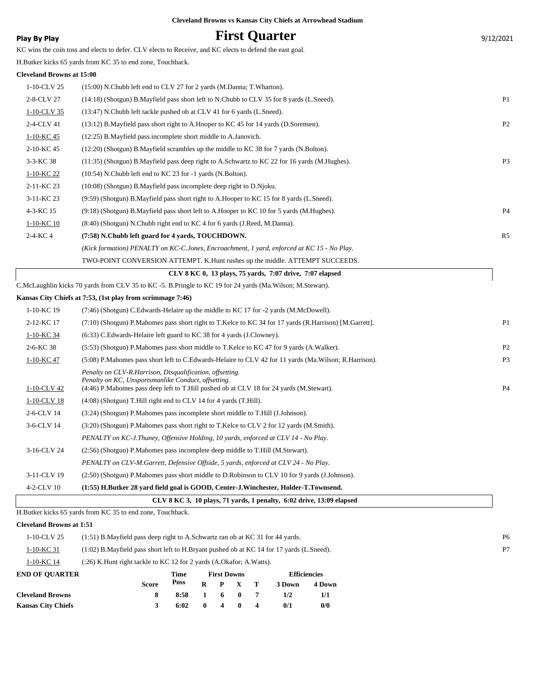|  |  | <b>Cleveland Browns vs Kansas City Chiefs at Arrowhead Stadium</b> |  |
|--|--|--------------------------------------------------------------------|--|
|  |  |                                                                    |  |

# **Play By Play Play Play Play First Quarter** 9/12/2021

KC wins the coin toss and elects to defer. CLV elects to Receive, and KC elects to defend the east goal.

H.Butker kicks 65 yards from KC 35 to end zone, Touchback.

#### **Cleveland Browns at 15:00**

| 2-11-KC 23 | $(10:08)$ (Shotgun) B. Mayfield pass incomplete deep right to D. Njoku.                     |                |
|------------|---------------------------------------------------------------------------------------------|----------------|
| 3-11-KC 23 | (9:59) (Shotgun) B. Mayfield pass short right to A. Hooper to KC 15 for 8 yards (L. Sneed). |                |
| 4-3-KC 15  | (9:18) (Shotgun) B.Mayfield pass short left to A.Hooper to KC 10 for 5 yards (M.Hughes).    | P <sub>4</sub> |
| 1-10-KC 10 | (8:40) (Shotgun) N.Chubb right end to KC 4 for 6 yards (J.Reed, M.Danna).                   |                |
| $2-4-KC4$  | (7:58) N.Chubb left guard for 4 yards, TOUCHDOWN.                                           | R5             |
|            | (Kick formation) PENALTY on KC-C.Jones, Encroachment, 1 yard, enforced at KC 15 - No Play.  |                |
|            | TWO-POINT CONVERSION ATTEMPT. K.Hunt rushes up the middle. ATTEMPT SUCCEEDS.                |                |
|            |                                                                                             |                |
|            | CLV 8 KC 0, 13 plays, 75 yards, 7:07 drive, 7:07 elapsed                                    |                |

| CLV 8 KC 3, 10 plays, 71 yards, 1 penalty, 6:02 drive, 13:09 elapsed |                                                                                                                                                                                                            |                |  |  |  |  |  |  |
|----------------------------------------------------------------------|------------------------------------------------------------------------------------------------------------------------------------------------------------------------------------------------------------|----------------|--|--|--|--|--|--|
| 4-2-CLV 10                                                           | (1:55) H.Butker 28 yard field goal is GOOD, Center-J.Winchester, Holder-T.Townsend.                                                                                                                        |                |  |  |  |  |  |  |
| 3-11-CLV 19                                                          | (2:50) (Shotgun) P.Mahomes pass short middle to D.Robinson to CLV 10 for 9 yards (J.Johnson).                                                                                                              |                |  |  |  |  |  |  |
|                                                                      | PENALTY on CLV-M.Garrett, Defensive Offside, 5 yards, enforced at CLV 24 - No Play.                                                                                                                        |                |  |  |  |  |  |  |
| 3-16-CLV 24                                                          | (2.56) (Shotgun) P.Mahomes pass incomplete deep middle to T.Hill (M.Stewart).                                                                                                                              |                |  |  |  |  |  |  |
|                                                                      | PENALTY on KC-J.Thuney, Offensive Holding, 10 yards, enforced at CLV 14 - No Play.                                                                                                                         |                |  |  |  |  |  |  |
| 3-6-CLV 14                                                           | (3:20) (Shotgun) P.Mahomes pass short right to T.Kelce to CLV 2 for 12 yards (M.Smith).                                                                                                                    |                |  |  |  |  |  |  |
| 2-6-CLV 14                                                           | (3:24) (Shotgun) P.Mahomes pass incomplete short middle to T.Hill (J.Johnson).                                                                                                                             |                |  |  |  |  |  |  |
| 1-10-CLV 18                                                          | $(4:08)$ (Shotgun) T. Hill right end to CLV 14 for 4 yards (T. Hill).                                                                                                                                      |                |  |  |  |  |  |  |
| 1-10-CLV 42                                                          | Penalty on CLV-R.Harrison, Disqualification, offsetting.<br>Penalty on KC, Unsportsmanlike Conduct, offsetting.<br>(4:46) P.Mahomes pass deep left to T.Hill pushed ob at CLV 18 for 24 yards (M.Stewart). | P <sub>4</sub> |  |  |  |  |  |  |
| 1-10-KC 47                                                           | (5:08) P.Mahomes pass short left to C.Edwards-Helaire to CLV 42 for 11 yards (Ma.Wilson; R.Harrison).                                                                                                      | P <sub>3</sub> |  |  |  |  |  |  |
| 2-6-KC 38                                                            | (5:53) (Shotgun) P. Mahomes pass short middle to T. Kelce to KC 47 for 9 yards (A. Walker).                                                                                                                | P <sub>2</sub> |  |  |  |  |  |  |
| 1-10-KC 34                                                           | $(6:33)$ C. Edwards-Helaire left guard to KC 38 for 4 yards (J. Clowney).                                                                                                                                  |                |  |  |  |  |  |  |
| 2-12-KC 17                                                           | (7:10) (Shotgun) P.Mahomes pass short right to T.Kelce to KC 34 for 17 yards (R.Harrison) [M.Garrett].                                                                                                     | P <sub>1</sub> |  |  |  |  |  |  |
| 1-10-KC 19                                                           | (7:46) (Shotgun) C. Edwards-Helaire up the middle to KC 17 for -2 yards (M. McDowell).                                                                                                                     |                |  |  |  |  |  |  |

H.Butker kicks 65 yards from KC 35 to end zone, Touchback.

**Cleveland Browns 8 8:58 1 6 0 7 1/2 1/1 Kansas City Chiefs 3 6:02 0 4 0 4 0/1 0/0**

## **Cleveland Browns at 1:51**

|                       | <b>Score</b>                                                                                | Poss | R |                    |  |  | 3 Down              | 4 Down |  |                |
|-----------------------|---------------------------------------------------------------------------------------------|------|---|--------------------|--|--|---------------------|--------|--|----------------|
| <b>END OF OUARTER</b> |                                                                                             | Time |   | <b>First Downs</b> |  |  | <b>Efficiencies</b> |        |  |                |
| 1-10-KC 14            | $(26)$ K. Hunt right tackle to KC 12 for 2 yards $(A. Okafor; A. Watts)$ .                  |      |   |                    |  |  |                     |        |  |                |
| 1-10-KC 31            | (1:02) B. Mayfield pass short left to H. Bryant pushed ob at KC 14 for 17 yards (L. Sneed). |      |   |                    |  |  |                     |        |  | P7             |
| 1-10-CLV 25           | $(1:51)$ B. Mayfield pass deep right to A. Schwartz ran ob at KC 31 for 44 yards.           |      |   |                    |  |  |                     |        |  | P <sub>6</sub> |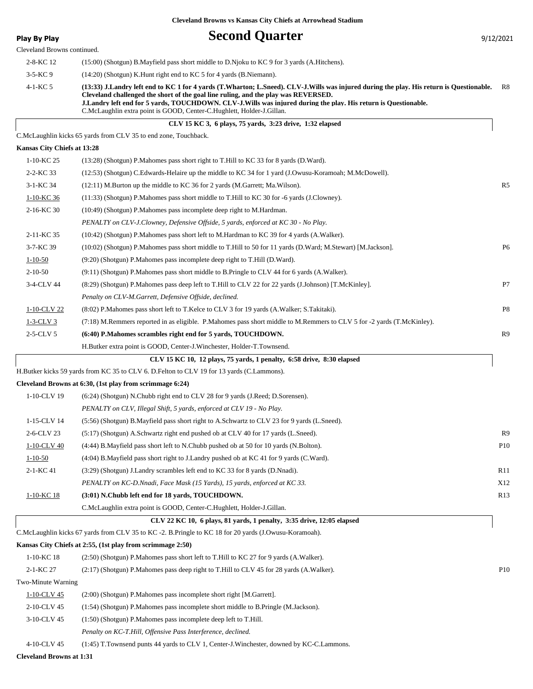# **Play By Play Play Play Second Quarter** 9/12/2021

| Cleveland Browns continued. |                                                                                                                                                                                                                                                                                                                                                                                                                           |                 |
|-----------------------------|---------------------------------------------------------------------------------------------------------------------------------------------------------------------------------------------------------------------------------------------------------------------------------------------------------------------------------------------------------------------------------------------------------------------------|-----------------|
| 2-8-KC 12                   | (15:00) (Shotgun) B.Mayfield pass short middle to D.Njoku to KC 9 for 3 yards (A.Hitchens).                                                                                                                                                                                                                                                                                                                               |                 |
| $3 - 5 - KC9$               | (14:20) (Shotgun) K.Hunt right end to KC 5 for 4 yards (B.Niemann).                                                                                                                                                                                                                                                                                                                                                       |                 |
| 4-1-KC 5                    | (13:33) J.Landry left end to KC 1 for 4 yards (T.Wharton; L.Sneed). CLV-J.Wills was injured during the play. His return is Questionable.<br>Cleveland challenged the short of the goal line ruling, and the play was REVERSED.<br>J.Landry left end for 5 yards, TOUCHDOWN. CLV-J.Wills was injured during the play. His return is Questionable.<br>C.McLaughlin extra point is GOOD, Center-C.Hughlett, Holder-J.Gillan. | -R8             |
|                             | CLV 15 KC 3, 6 plays, 75 yards, 3:23 drive, 1:32 elapsed                                                                                                                                                                                                                                                                                                                                                                  |                 |
|                             | C.McLaughlin kicks 65 yards from CLV 35 to end zone, Touchback.                                                                                                                                                                                                                                                                                                                                                           |                 |
| Kansas City Chiefs at 13:28 |                                                                                                                                                                                                                                                                                                                                                                                                                           |                 |
| 1-10-KC 25                  | (13:28) (Shotgun) P.Mahomes pass short right to T.Hill to KC 33 for 8 yards (D.Ward).                                                                                                                                                                                                                                                                                                                                     |                 |
| 2-2-KC 33                   | (12:53) (Shotgun) C.Edwards-Helaire up the middle to KC 34 for 1 yard (J.Owusu-Koramoah; M.McDowell).                                                                                                                                                                                                                                                                                                                     |                 |
| 3-1-KC 34                   | $(12:11)$ M.Burton up the middle to KC 36 for 2 yards (M.Garrett; Ma.Wilson).                                                                                                                                                                                                                                                                                                                                             | R <sub>5</sub>  |
| $1-10-KC$ 36                | (11:33) (Shotgun) P. Mahomes pass short middle to T. Hill to KC 30 for -6 yards (J. Clowney).                                                                                                                                                                                                                                                                                                                             |                 |
| 2-16-KC 30                  | (10:49) (Shotgun) P.Mahomes pass incomplete deep right to M.Hardman.                                                                                                                                                                                                                                                                                                                                                      |                 |
|                             | PENALTY on CLV-J.Clowney, Defensive Offside, 5 yards, enforced at KC 30 - No Play.                                                                                                                                                                                                                                                                                                                                        |                 |
| 2-11-KC 35                  | (10:42) (Shotgun) P.Mahomes pass short left to M.Hardman to KC 39 for 4 yards (A.Walker).                                                                                                                                                                                                                                                                                                                                 |                 |
| 3-7-KC 39                   | (10:02) (Shotgun) P.Mahomes pass short middle to T.Hill to 50 for 11 yards (D.Ward; M.Stewart) [M.Jackson].                                                                                                                                                                                                                                                                                                               | P <sub>6</sub>  |
| $1 - 10 - 50$               | (9:20) (Shotgun) P. Mahomes pass incomplete deep right to T. Hill (D. Ward).                                                                                                                                                                                                                                                                                                                                              |                 |
| $2 - 10 - 50$               | (9:11) (Shotgun) P.Mahomes pass short middle to B.Pringle to CLV 44 for 6 yards (A.Walker).                                                                                                                                                                                                                                                                                                                               |                 |
| 3-4-CLV 44                  | (8:29) (Shotgun) P.Mahomes pass deep left to T.Hill to CLV 22 for 22 yards (J.Johnson) [T.McKinley].                                                                                                                                                                                                                                                                                                                      | P7              |
|                             | Penalty on CLV-M.Garrett, Defensive Offside, declined.                                                                                                                                                                                                                                                                                                                                                                    |                 |
| 1-10-CLV 22                 | (8:02) P. Mahomes pass short left to T. Kelce to CLV 3 for 19 yards (A. Walker; S. Takitaki).                                                                                                                                                                                                                                                                                                                             | P8              |
| $1-3$ -CLV 3                | (7:18) M.Remmers reported in as eligible. P.Mahomes pass short middle to M.Remmers to CLV 5 for -2 yards (T.McKinley).                                                                                                                                                                                                                                                                                                    |                 |
| $2-5$ -CLV 5                | (6:40) P.Mahomes scrambles right end for 5 yards, TOUCHDOWN.                                                                                                                                                                                                                                                                                                                                                              | R9              |
|                             | H.Butker extra point is GOOD, Center-J.Winchester, Holder-T.Townsend.                                                                                                                                                                                                                                                                                                                                                     |                 |
|                             | CLV 15 KC 10, 12 plays, 75 yards, 1 penalty, 6:58 drive, 8:30 elapsed                                                                                                                                                                                                                                                                                                                                                     |                 |
|                             | H.Butker kicks 59 yards from KC 35 to CLV 6. D.Felton to CLV 19 for 13 yards (C.Lammons).                                                                                                                                                                                                                                                                                                                                 |                 |
|                             | Cleveland Browns at 6:30, (1st play from scrimmage 6:24)                                                                                                                                                                                                                                                                                                                                                                  |                 |
| 1-10-CLV 19                 | (6:24) (Shotgun) N.Chubb right end to CLV 28 for 9 yards (J.Reed; D.Sorensen).                                                                                                                                                                                                                                                                                                                                            |                 |
|                             | PENALTY on CLV, Illegal Shift, 5 yards, enforced at CLV 19 - No Play.                                                                                                                                                                                                                                                                                                                                                     |                 |
| 1-15-CLV 14                 | (5:56) (Shotgun) B.Mayfield pass short right to A.Schwartz to CLV 23 for 9 yards (L.Sneed).                                                                                                                                                                                                                                                                                                                               |                 |
| 2-6-CLV 23                  | (5:17) (Shotgun) A.Schwartz right end pushed ob at CLV 40 for 17 yards (L.Sneed).                                                                                                                                                                                                                                                                                                                                         | R <sub>9</sub>  |
| 1-10-CLV 40                 | (4:44) B.Mayfield pass short left to N.Chubb pushed ob at 50 for 10 yards (N.Bolton).                                                                                                                                                                                                                                                                                                                                     | P10             |
| $1 - 10 - 50$               | $(4:04)$ B. Mayfield pass short right to J. Landry pushed ob at KC 41 for 9 yards (C. Ward).                                                                                                                                                                                                                                                                                                                              |                 |
| 2-1-KC 41                   | (3:29) (Shotgun) J.Landry scrambles left end to KC 33 for 8 yards (D.Nnadi).                                                                                                                                                                                                                                                                                                                                              | R11             |
|                             | PENALTY on KC-D.Nnadi, Face Mask (15 Yards), 15 yards, enforced at KC 33.                                                                                                                                                                                                                                                                                                                                                 | X12             |
| 1-10-KC 18                  | (3:01) N.Chubb left end for 18 yards, TOUCHDOWN.                                                                                                                                                                                                                                                                                                                                                                          | R13             |
|                             | C.McLaughlin extra point is GOOD, Center-C.Hughlett, Holder-J.Gillan.                                                                                                                                                                                                                                                                                                                                                     |                 |
|                             | CLV 22 KC 10, 6 plays, 81 yards, 1 penalty, 3:35 drive, 12:05 elapsed                                                                                                                                                                                                                                                                                                                                                     |                 |
|                             | C.McLaughlin kicks 67 yards from CLV 35 to KC -2. B.Pringle to KC 18 for 20 yards (J.Owusu-Koramoah).                                                                                                                                                                                                                                                                                                                     |                 |
|                             | Kansas City Chiefs at 2:55, (1st play from scrimmage 2:50)                                                                                                                                                                                                                                                                                                                                                                |                 |
| 1-10-KC 18                  | (2:50) (Shotgun) P. Mahomes pass short left to T. Hill to KC 27 for 9 yards (A. Walker).                                                                                                                                                                                                                                                                                                                                  |                 |
| 2-1-KC 27                   | (2:17) (Shotgun) P.Mahomes pass deep right to T.Hill to CLV 45 for 28 yards (A.Walker).                                                                                                                                                                                                                                                                                                                                   | P <sub>10</sub> |
| Two-Minute Warning          |                                                                                                                                                                                                                                                                                                                                                                                                                           |                 |
| 1-10-CLV 45                 | (2:00) (Shotgun) P.Mahomes pass incomplete short right [M.Garrett].                                                                                                                                                                                                                                                                                                                                                       |                 |
| 2-10-CLV 45                 | (1:54) (Shotgun) P.Mahomes pass incomplete short middle to B.Pringle (M.Jackson).                                                                                                                                                                                                                                                                                                                                         |                 |
| 3-10-CLV 45                 | (1:50) (Shotgun) P.Mahomes pass incomplete deep left to T.Hill.                                                                                                                                                                                                                                                                                                                                                           |                 |
|                             | Penalty on KC-T.Hill, Offensive Pass Interference, declined.                                                                                                                                                                                                                                                                                                                                                              |                 |

4-10-CLV 45 (1:45) T.Townsend punts 44 yards to CLV 1, Center-J.Winchester, downed by KC-C.Lammons.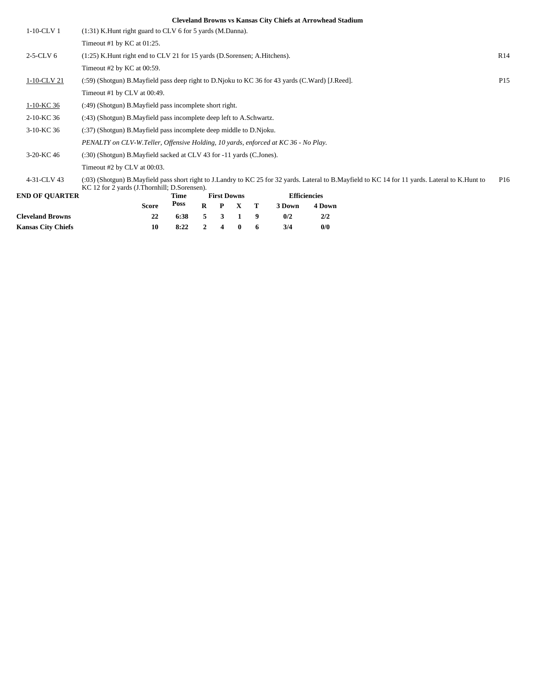| $1-10$ -CLV $1$           | $(1:31)$ K. Hunt right guard to CLV 6 for 5 yards (M. Danna).                                  |      |          |                    |              |   |        |                     |                                                                                                                                                  |                 |
|---------------------------|------------------------------------------------------------------------------------------------|------|----------|--------------------|--------------|---|--------|---------------------|--------------------------------------------------------------------------------------------------------------------------------------------------|-----------------|
|                           | Timeout #1 by KC at $01:25$ .                                                                  |      |          |                    |              |   |        |                     |                                                                                                                                                  |                 |
| $2-5$ -CLV 6              | (1:25) K. Hunt right end to CLV 21 for 15 yards (D. Sorensen; A. Hitchens).                    |      |          |                    |              |   |        |                     |                                                                                                                                                  | R <sub>14</sub> |
|                           | Timeout $#2$ by KC at 00:59.                                                                   |      |          |                    |              |   |        |                     |                                                                                                                                                  |                 |
| 1-10-CLV 21               | (:59) (Shotgun) B.Mayfield pass deep right to D.Njoku to KC 36 for 43 yards (C.Ward) [J.Reed]. |      |          |                    |              |   |        |                     |                                                                                                                                                  | P <sub>15</sub> |
|                           | Timeout #1 by CLV at 00:49.                                                                    |      |          |                    |              |   |        |                     |                                                                                                                                                  |                 |
| 1-10-KC 36                | (:49) (Shotgun) B. Mayfield pass incomplete short right.                                       |      |          |                    |              |   |        |                     |                                                                                                                                                  |                 |
| 2-10-KC 36                | (:43) (Shotgun) B.Mayfield pass incomplete deep left to A.Schwartz.                            |      |          |                    |              |   |        |                     |                                                                                                                                                  |                 |
| 3-10-KC 36                | (:37) (Shotgun) B.Mayfield pass incomplete deep middle to D.Njoku.                             |      |          |                    |              |   |        |                     |                                                                                                                                                  |                 |
|                           | PENALTY on CLV-W.Teller, Offensive Holding, 10 yards, enforced at KC 36 - No Play.             |      |          |                    |              |   |        |                     |                                                                                                                                                  |                 |
| 3-20-KC 46                | (:30) (Shotgun) B.Mayfield sacked at CLV 43 for -11 yards (C.Jones).                           |      |          |                    |              |   |        |                     |                                                                                                                                                  |                 |
|                           | Timeout #2 by CLV at 00:03.                                                                    |      |          |                    |              |   |        |                     |                                                                                                                                                  |                 |
| 4-31-CLV 43               | KC 12 for 2 yards (J.Thornhill; D.Sorensen).                                                   |      |          |                    |              |   |        |                     | (:03) (Shotgun) B.Mayfield pass short right to J.Landry to KC 25 for 32 yards. Lateral to B.Mayfield to KC 14 for 11 yards. Lateral to K.Hunt to | P <sub>16</sub> |
| <b>END OF QUARTER</b>     |                                                                                                | Time |          | <b>First Downs</b> |              |   |        | <b>Efficiencies</b> |                                                                                                                                                  |                 |
|                           | <b>Score</b>                                                                                   | Poss | $\bf{R}$ | $\mathbf{P}$       | $\mathbf{X}$ | т | 3 Down | 4 Down              |                                                                                                                                                  |                 |
| <b>Cleveland Browns</b>   | 22                                                                                             | 6:38 | 5        | 3                  | -1           | 9 | 0/2    | 2/2                 |                                                                                                                                                  |                 |
| <b>Kansas City Chiefs</b> | 10                                                                                             | 8:22 | 2        | 4                  | $\bf{0}$     | 6 | 3/4    | 0/0                 |                                                                                                                                                  |                 |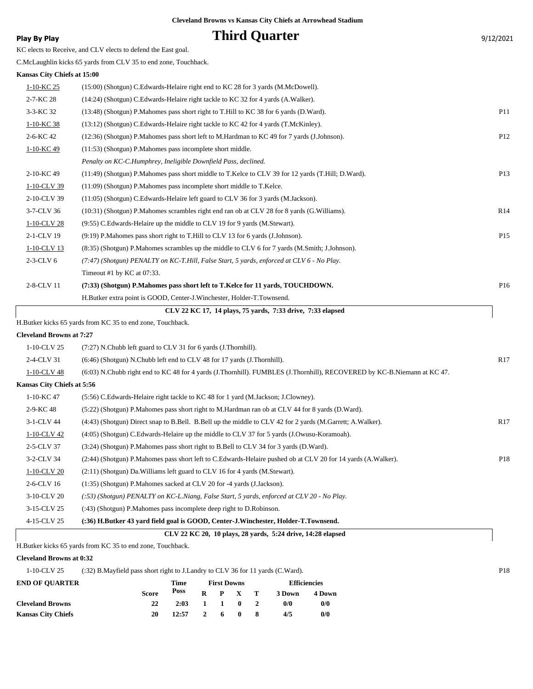## **Play By Play Play Play Play Play By Play Play By Play Play By Play Play Play Play Play Play Play Play Play Play Play Play Play Play Play Play Play Play Play Play Play**

|  | KC elects to Receive, and CLV elects to defend the East goal. |
|--|---------------------------------------------------------------|
|--|---------------------------------------------------------------|

C.McLaughlin kicks 65 yards from CLV 35 to end zone, Touchback.

## **Kansas City Chiefs at 15:00**

|              | H Butker kicks 65 vards from KC 35 to end zone. Touchback                                         |                 |
|--------------|---------------------------------------------------------------------------------------------------|-----------------|
|              | CLV 22 KC 17, 14 plays, 75 vards, 7:33 drive, 7:33 elapsed                                        |                 |
|              | H.Butker extra point is GOOD, Center-J.Winchester, Holder-T.Townsend.                             |                 |
| 2-8-CLV 11   | (7:33) (Shotgun) P.Mahomes pass short left to T.Kelce for 11 yards, TOUCHDOWN.                    | P <sub>16</sub> |
|              | Timeout #1 by $KC$ at 07:33.                                                                      |                 |
| $2-3-CLV6$   | $(7.47)$ (Shotgun) PENALTY on KC-T.Hill, False Start, 5 yards, enforced at CLV 6 - No Play.       |                 |
| 1-10-CLV 13  | (8:35) (Shotgun) P.Mahomes scrambles up the middle to CLV 6 for 7 yards (M.Smith; J.Johnson).     |                 |
| 2-1-CLV 19   | $(9.19)$ P.Mahomes pass short right to T.Hill to CLV 13 for 6 yards (J.Johnson).                  | P <sub>15</sub> |
| 1-10-CLV 28  | (9.55) C. Edwards-Helaire up the middle to CLV 19 for 9 yards (M. Stewart).                       |                 |
| 3-7-CLV 36   | (10:31) (Shotgun) P.Mahomes scrambles right end ran ob at CLV 28 for 8 yards (G.Williams).        | R14             |
| 2-10-CLV 39  | (11:05) (Shotgun) C. Edwards-Helaire left guard to CLV 36 for 3 yards (M. Jackson).               |                 |
| 1-10-CLV 39  | (11:09) (Shotgun) P.Mahomes pass incomplete short middle to T.Kelce.                              |                 |
| 2-10-KC 49   | (11:49) (Shotgun) P.Mahomes pass short middle to T.Kelce to CLV 39 for 12 yards (T.Hill; D.Ward). | P <sub>13</sub> |
|              | Penalty on KC-C.Humphrey, Ineligible Downfield Pass, declined.                                    |                 |
| 1-10-KC 49   | (11:53) (Shotgun) P.Mahomes pass incomplete short middle.                                         |                 |
| 2-6-KC 42    | (12:36) (Shotgun) P.Mahomes pass short left to M.Hardman to KC 49 for 7 yards (J.Johnson).        | P <sub>12</sub> |
| $1-10-KC$ 38 | (13:12) (Shotgun) C. Edwards-Helaire right tackle to KC 42 for 4 yards (T. McKinley).             |                 |
| 3-3-KC 32    | (13:48) (Shotgun) P. Mahomes pass short right to T. Hill to KC 38 for 6 yards (D. Ward).          | P11             |
| 2-7-KC 28    | (14:24) (Shotgun) C.Edwards-Helaire right tackle to KC 32 for 4 yards (A.Walker).                 |                 |
| 1-10-KC 25   | (15:00) (Shotgun) C. Edwards-Helaire right end to KC 28 for 3 yards (M. McDowell).                |                 |

H.Butker kicks 65 yards from KC 35 to end zone, Touchback.

#### **Cleveland Browns at 7:27**

| $1-10$ -CLV 25             | (7:27) N.Chubb left guard to CLV 31 for 6 yards (J.Thornhill).                                                          |     |
|----------------------------|-------------------------------------------------------------------------------------------------------------------------|-----|
| 2-4-CLV 31                 | (6:46) (Shotgun) N.Chubb left end to CLV 48 for 17 yards (J.Thornhill).                                                 | R17 |
| 1-10-CLV 48                | (6:03) N.Chubb right end to KC 48 for 4 yards (J.Thornhill). FUMBLES (J.Thornhill), RECOVERED by KC-B.Niemann at KC 47. |     |
| Kansas City Chiefs at 5:56 |                                                                                                                         |     |
| 1-10-KC 47                 | (5:56) C. Edwards-Helaire right tackle to KC 48 for 1 yard (M. Jackson; J. Clowney).                                    |     |
| 2-9-KC 48                  | (5:22) (Shotgun) P.Mahomes pass short right to M.Hardman ran ob at CLV 44 for 8 yards (D.Ward).                         |     |
| 3-1-CLV 44                 | (4:43) (Shotgun) Direct snap to B.Bell. B.Bell up the middle to CLV 42 for 2 yards (M.Garrett; A.Walker).               | R17 |
| 1-10-CLV 42                | (4:05) (Shotgun) C.Edwards-Helaire up the middle to CLV 37 for 5 yards (J.Owusu-Koramoah).                              |     |
| 2-5-CLV 37                 | (3:24) (Shotgun) P. Mahomes pass short right to B. Bell to CLV 34 for 3 yards (D. Ward).                                |     |
| 3-2-CLV 34                 | (2:44) (Shotgun) P.Mahomes pass short left to C.Edwards-Helaire pushed ob at CLV 20 for 14 yards (A.Walker).            | P18 |
| 1-10-CLV 20                | $(2.11)$ (Shotgun) Da. Williams left guard to CLV 16 for 4 yards (M. Stewart).                                          |     |
| 2-6-CLV 16                 | $(1:35)$ (Shotgun) P. Mahomes sacked at CLV 20 for -4 yards (J. Jackson).                                               |     |
| 3-10-CLV 20                | $(.53)$ (Shotgun) PENALTY on KC-L.Niang, False Start, 5 yards, enforced at CLV 20 - No Play.                            |     |
| 3-15-CLV 25                | (:43) (Shotgun) P.Mahomes pass incomplete deep right to D.Robinson.                                                     |     |
| 4-15-CLV 25                | (:36) H.Butker 43 vard field goal is GOOD, Center-J.Winchester, Holder-T.Townsend.                                      |     |
|                            |                                                                                                                         |     |

## **CLV 22 KC 20, 10 plays, 28 yards, 5:24 drive, 14:28 elapsed**

## H.Butker kicks 65 yards from KC 35 to end zone, Touchback.

#### **Cleveland Browns at 0:32**

## 1-10-CLV 25 (:32) B.Mayfield pass short right to J.Landry to CLV 36 for 11 yards (C.Ward). P18

| <b>END OF OUARTER</b>     |              | Time  | <b>First Downs</b> |       |                 |  | <b>Efficiencies</b> |        |  |
|---------------------------|--------------|-------|--------------------|-------|-----------------|--|---------------------|--------|--|
|                           | <b>Score</b> | Poss  |                    |       | $R$ $P$ $X$ $T$ |  | 3 Down              | 4 Down |  |
| <b>Cleveland Browns</b>   | 22           | 2:03  | 1 1 0 2            |       |                 |  | $\Omega$            | 0/0    |  |
| <b>Kansas City Chiefs</b> | 20           | 12:57 |                    | 2 6 0 |                 |  | 4/5                 | 0/0    |  |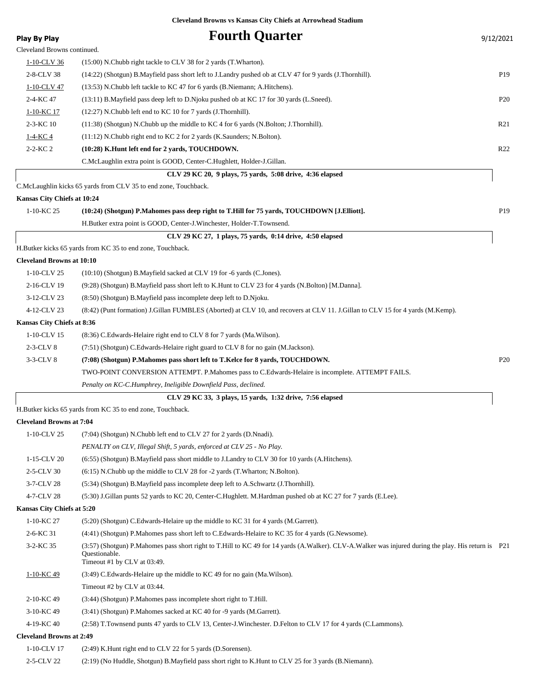| <b>Play By Play</b>              | <b>Fourth Quarter</b>                                                                                                                               | 9/12/2021       |
|----------------------------------|-----------------------------------------------------------------------------------------------------------------------------------------------------|-----------------|
| Cleveland Browns continued.      |                                                                                                                                                     |                 |
| 1-10-CLV 36                      | (15:00) N.Chubb right tackle to CLV 38 for 2 yards (T.Wharton).                                                                                     |                 |
| 2-8-CLV 38                       | (14:22) (Shotgun) B.Mayfield pass short left to J.Landry pushed ob at CLV 47 for 9 yards (J.Thornhill).                                             | P <sub>19</sub> |
| 1-10-CLV 47                      | (13:53) N.Chubb left tackle to KC 47 for 6 yards (B.Niemann; A.Hitchens).                                                                           |                 |
| 2-4-KC 47                        | (13:11) B. Mayfield pass deep left to D. Njoku pushed ob at KC 17 for 30 yards (L. Sneed).                                                          | P <sub>20</sub> |
| 1-10-KC 17                       | (12:27) N.Chubb left end to KC 10 for 7 yards (J.Thornhill).                                                                                        |                 |
| 2-3-KC 10                        | $(11:38)$ (Shotgun) N.Chubb up the middle to KC 4 for 6 yards (N.Bolton; J.Thornhill).                                                              | R <sub>21</sub> |
| <u>1-4-KC4</u>                   | $(11:12)$ N.Chubb right end to KC 2 for 2 yards (K.Saunders; N.Bolton).                                                                             |                 |
| $2 - 2 - KC 2$                   | (10:28) K.Hunt left end for 2 yards, TOUCHDOWN.                                                                                                     | R <sub>22</sub> |
|                                  | C.McLaughlin extra point is GOOD, Center-C.Hughlett, Holder-J.Gillan.                                                                               |                 |
|                                  | CLV 29 KC 20, 9 plays, 75 yards, 5:08 drive, 4:36 elapsed                                                                                           |                 |
|                                  | C.McLaughlin kicks 65 yards from CLV 35 to end zone, Touchback.                                                                                     |                 |
| Kansas City Chiefs at 10:24      |                                                                                                                                                     |                 |
| 1-10-KC 25                       | (10:24) (Shotgun) P.Mahomes pass deep right to T.Hill for 75 yards, TOUCHDOWN [J.Elliott].                                                          | P <sub>19</sub> |
|                                  | H.Butker extra point is GOOD, Center-J.Winchester, Holder-T.Townsend.                                                                               |                 |
|                                  | CLV 29 KC 27, 1 plays, 75 yards, 0:14 drive, 4:50 elapsed                                                                                           |                 |
|                                  | H.Butker kicks 65 yards from KC 35 to end zone, Touchback.                                                                                          |                 |
| <b>Cleveland Browns at 10:10</b> |                                                                                                                                                     |                 |
| 1-10-CLV 25                      | $(10:10)$ (Shotgun) B.Mayfield sacked at CLV 19 for -6 yards (C.Jones).                                                                             |                 |
| 2-16-CLV 19                      | (9:28) (Shotgun) B.Mayfield pass short left to K.Hunt to CLV 23 for 4 yards (N.Bolton) [M.Danna].                                                   |                 |
| 3-12-CLV 23                      | (8:50) (Shotgun) B.Mayfield pass incomplete deep left to D.Njoku.                                                                                   |                 |
| 4-12-CLV 23                      | (8:42) (Punt formation) J.Gillan FUMBLES (Aborted) at CLV 10, and recovers at CLV 11. J.Gillan to CLV 15 for 4 yards (M.Kemp).                      |                 |
| Kansas City Chiefs at 8:36       |                                                                                                                                                     |                 |
| 1-10-CLV 15                      | (8:36) C. Edwards-Helaire right end to CLV 8 for 7 yards (Ma. Wilson).                                                                              |                 |
| $2-3$ -CLV $8$                   | (7:51) (Shotgun) C. Edwards-Helaire right guard to CLV 8 for no gain (M. Jackson).                                                                  |                 |
| $3-3$ -CLV $8$                   | (7:08) (Shotgun) P.Mahomes pass short left to T.Kelce for 8 yards, TOUCHDOWN.                                                                       | P <sub>20</sub> |
|                                  | TWO-POINT CONVERSION ATTEMPT. P.Mahomes pass to C.Edwards-Helaire is incomplete. ATTEMPT FAILS.                                                     |                 |
|                                  | Penalty on KC-C.Humphrey, Ineligible Downfield Pass, declined.                                                                                      |                 |
|                                  | CLV 29 KC 33, 3 plays, 15 yards, 1:32 drive, 7:56 elapsed                                                                                           |                 |
|                                  | H.Butker kicks 65 yards from KC 35 to end zone, Touchback.                                                                                          |                 |
| <b>Cleveland Browns at 7:04</b>  |                                                                                                                                                     |                 |
| 1-10-CLV 25                      | (7:04) (Shotgun) N.Chubb left end to CLV 27 for 2 yards (D.Nnadi).                                                                                  |                 |
|                                  | PENALTY on CLV, Illegal Shift, 5 yards, enforced at CLV 25 - No Play.                                                                               |                 |
| 1-15-CLV 20                      | (6.55) (Shotgun) B. Mayfield pass short middle to J. Landry to CLV 30 for 10 yards (A. Hitchens).                                                   |                 |
| 2-5-CLV 30                       | (6:15) N.Chubb up the middle to CLV 28 for -2 yards (T.Wharton; N.Bolton).                                                                          |                 |
| 3-7-CLV 28                       | (5:34) (Shotgun) B.Mayfield pass incomplete deep left to A.Schwartz (J.Thornhill).                                                                  |                 |
| 4-7-CLV 28                       | (5:30) J.Gillan punts 52 yards to KC 20, Center-C.Hughlett. M.Hardman pushed ob at KC 27 for 7 yards (E.Lee).                                       |                 |
| Kansas City Chiefs at 5:20       |                                                                                                                                                     |                 |
| 1-10-KC 27                       | (5:20) (Shotgun) C. Edwards-Helaire up the middle to KC 31 for 4 yards (M. Garrett).                                                                |                 |
| 2-6-KC 31                        | (4:41) (Shotgun) P.Mahomes pass short left to C.Edwards-Helaire to KC 35 for 4 yards (G.Newsome).                                                   |                 |
| 3-2-KC 35                        | (3:57) (Shotgun) P.Mahomes pass short right to T.Hill to KC 49 for 14 yards (A.Walker). CLV-A.Walker was injured during the play. His return is P21 |                 |
|                                  | Questionable.<br>Timeout #1 by CLV at 03:49.                                                                                                        |                 |
| $1-10-KC$ 49                     | $(3.49)$ C. Edwards-Helaire up the middle to KC 49 for no gain (Ma. Wilson).                                                                        |                 |
|                                  | Timeout #2 by CLV at 03:44.                                                                                                                         |                 |
| 2-10-KC 49                       | (3:44) (Shotgun) P.Mahomes pass incomplete short right to T.Hill.                                                                                   |                 |
| 3-10-KC 49                       | (3:41) (Shotgun) P.Mahomes sacked at KC 40 for -9 yards (M.Garrett).                                                                                |                 |
| 4-19-KC 40                       | (2:58) T.Townsend punts 47 yards to CLV 13, Center-J.Winchester. D.Felton to CLV 17 for 4 yards (C.Lammons).                                        |                 |
| <b>Cleveland Browns at 2:49</b>  |                                                                                                                                                     |                 |
| 1-10-CLV 17                      | (2:49) K.Hunt right end to CLV 22 for 5 yards (D.Sorensen).                                                                                         |                 |
| 2-5-CLV 22                       | (2:19) (No Huddle, Shotgun) B.Mayfield pass short right to K.Hunt to CLV 25 for 3 yards (B.Niemann).                                                |                 |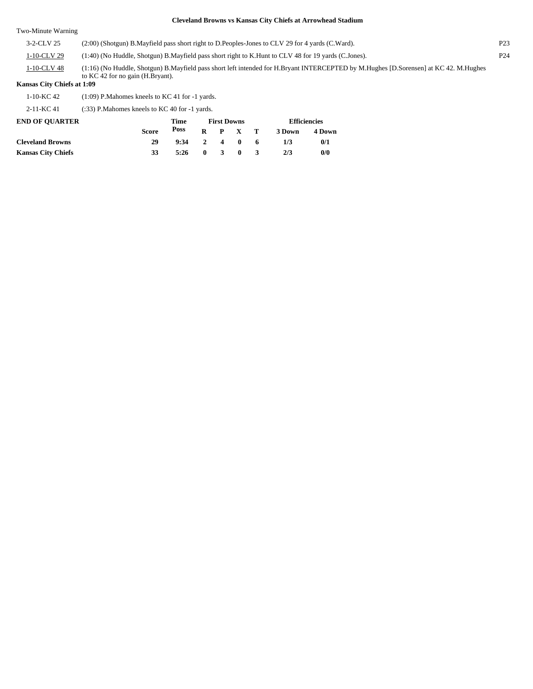Two-Minute Warning

| 3-2-CLV 25     | (2:00) (Shotgun) B. Mayfield pass short right to D. Peoples-Jones to CLV 29 for 4 yards (C. Ward).                                                                            | P <sub>23</sub> |
|----------------|-------------------------------------------------------------------------------------------------------------------------------------------------------------------------------|-----------------|
| $1-10$ -CLV 29 | (1:40) (No Huddle, Shotgun) B. Mayfield pass short right to K. Hunt to CLV 48 for 19 yards (C. Jones).                                                                        | P <sub>24</sub> |
| 1-10-CLV 48    | (1:16) (No Huddle, Shotgun) B. Mayfield pass short left intended for H. Bryant INTERCEPTED by M. Hughes [D. Sorensen] at KC 42. M. Hughes<br>to KC 42 for no gain (H.Bryant). |                 |

#### **Kansas City Chiefs at 1:09**

1-10-KC 42 (1:09) P.Mahomes kneels to KC 41 for -1 yards.

## 2-11-KC 41 (:33) P.Mahomes kneels to KC 40 for -1 yards.

| <b>END OF OUARTER</b>     |                      | Time | <b>First Downs</b> |                 |         |        | <b>Efficiencies</b> |     |  |
|---------------------------|----------------------|------|--------------------|-----------------|---------|--------|---------------------|-----|--|
|                           | Poss<br><b>Score</b> |      |                    | $R$ $P$ $X$ $T$ |         | 3 Down | 4 Down              |     |  |
| <b>Cleveland Browns</b>   | 29                   | 9:34 |                    |                 | 2 4 0 6 |        | 1/3                 | 0/1 |  |
| <b>Kansas City Chiefs</b> | 33                   | 5:26 | 0 3 0 3            |                 |         |        | 2/3                 | 0/0 |  |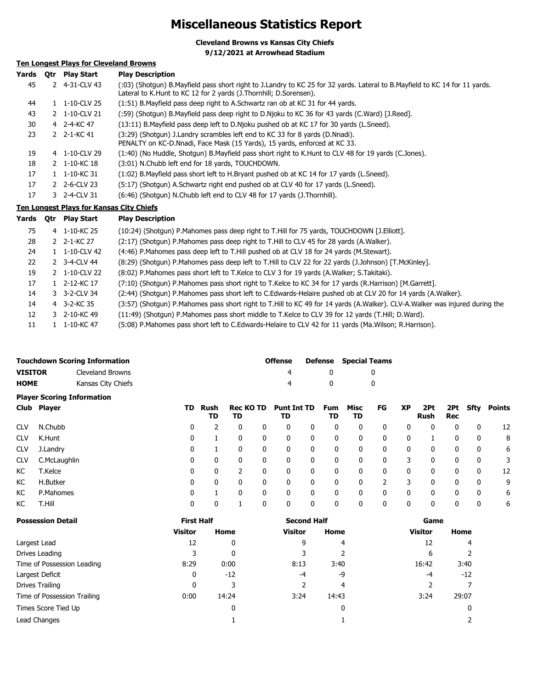# **Miscellaneous Statistics Report**

**Cleveland Browns vs Kansas City Chiefs**

**9/12/2021 at Arrowhead Stadium**

## **Ten Longest Plays for Cleveland Browns**

| Yards | 0tr | <b>Play Start</b>               | <b>Play Description</b>                                                                                                                                                                             |
|-------|-----|---------------------------------|-----------------------------------------------------------------------------------------------------------------------------------------------------------------------------------------------------|
| 45    |     | 2 4-31-CLV 43                   | (:03) (Shotgun) B.Mayfield pass short right to J.Landry to KC 25 for 32 yards. Lateral to B.Mayfield to KC 14 for 11 yards.<br>Lateral to K. Hunt to KC 12 for 2 yards (J. Thornhill; D. Sorensen). |
| 44    |     | $1 \quad 1 - 10 - CLV$ 25       | (1:51) B. Mayfield pass deep right to A. Schwartz ran ob at KC 31 for 44 yards.                                                                                                                     |
| 43    |     | 2 1-10-CLV 21                   | (59) (Shotgun) B.Mayfield pass deep right to D.Njoku to KC 36 for 43 yards (C.Ward) [J.Reed].                                                                                                       |
| 30    |     | 4 2-4-KC 47                     | (13:11) B. Mayfield pass deep left to D. Njoku pushed ob at KC 17 for 30 yards (L. Sneed).                                                                                                          |
| 23    |     | 2 $2 - 1 - KC$ 41               | (3:29) (Shotqun) J.Landry scrambles left end to KC 33 for 8 yards (D.Nnadi).<br>PENALTY on KC-D.Nnadi, Face Mask (15 Yards), 15 yards, enforced at KC 33.                                           |
| 19    |     | 4 1-10-CLV 29                   | (1:40) (No Huddle, Shotgun) B. Mayfield pass short right to K. Hunt to CLV 48 for 19 yards (C. Jones).                                                                                              |
| 18    |     | 2 1-10-KC 18                    | (3:01) N.Chubb left end for 18 yards, TOUCHDOWN.                                                                                                                                                    |
| 17    |     | $1 \quad 1 - 10 - K C \quad 31$ | (1:02) B. Mayfield pass short left to H. Bryant pushed ob at KC 14 for 17 yards (L. Sneed).                                                                                                         |
| 17    |     | $2\,$ 2-6-CLV 23                | (5:17) (Shotgun) A.Schwartz right end pushed ob at CLV 40 for 17 yards (L.Sneed).                                                                                                                   |
| 17    |     | 3 2-4-CLV 31                    | (6:46) (Shotgun) N.Chubb left end to CLV 48 for 17 yards (J.Thornhill).                                                                                                                             |
|       |     |                                 |                                                                                                                                                                                                     |

## **Ten Longest Plays for Kansas City Chiefs**

| Yards | 0tr | Play Start    | <b>Play Description</b>                                                                                                     |
|-------|-----|---------------|-----------------------------------------------------------------------------------------------------------------------------|
| 75    |     | 4 1-10-KC 25  | (10:24) (Shotgun) P.Mahomes pass deep right to T.Hill for 75 yards, TOUCHDOWN [J.Elliott].                                  |
| 28    |     | 2 2-1-KC 27   | (2:17) (Shotgun) P.Mahomes pass deep right to T.Hill to CLV 45 for 28 yards (A.Walker).                                     |
| 24    |     | 1 1-10-CLV 42 | (4:46) P.Mahomes pass deep left to T.Hill pushed ob at CLV 18 for 24 yards (M.Stewart).                                     |
| 22    |     | 2 3-4-CLV 44  | (8:29) (Shotgun) P.Mahomes pass deep left to T.Hill to CLV 22 for 22 yards (J.Johnson) [T.McKinley].                        |
| 19    |     | 2 1-10-CLV 22 | (8:02) P.Mahomes pass short left to T.Kelce to CLV 3 for 19 yards (A.Walker; S.Takitaki).                                   |
| 17    |     | 1 2-12-KC 17  | (7:10) (Shotgun) P.Mahomes pass short right to T.Kelce to KC 34 for 17 yards (R.Harrison) [M.Garrett].                      |
| 14    |     | 3 3-2-CLV 34  | (2:44) (Shotgun) P.Mahomes pass short left to C.Edwards-Helaire pushed ob at CLV 20 for 14 yards (A.Walker).                |
| 14    |     | 4 3-2-KC 35   | (3:57) (Shotqun) P.Mahomes pass short right to T.Hill to KC 49 for 14 yards (A.Walker). CLV-A.Walker was injured during the |
| 12    |     | 3 2-10-KC 49  | (11:49) (Shotgun) P.Mahomes pass short middle to T.Kelce to CLV 39 for 12 yards (T.Hill; D.Ward).                           |
| 11    |     | 1 1-10-KC 47  | (5:08) P.Mahomes pass short left to C.Edwards-Helaire to CLV 42 for 11 yards (Ma.Wilson; R.Harrison).                       |

|                | <b>Touchdown Scoring Information</b> | Offense |            | <b>Defense</b> Special Teams |
|----------------|--------------------------------------|---------|------------|------------------------------|
| <b>VISITOR</b> | Cleveland Browns                     |         | $^{\circ}$ |                              |
| <b>HOME</b>    | Kansas City Chiefs                   |         | $^{\circ}$ |                              |

|            | <b>Player Scoring Information</b> |     |            |                        |   |                          |   |           |              |    |           |             |             |              |        |
|------------|-----------------------------------|-----|------------|------------------------|---|--------------------------|---|-----------|--------------|----|-----------|-------------|-------------|--------------|--------|
|            | Club Player                       | TD. | Rush<br>TD | <b>Rec KO TD</b><br>TD |   | <b>Punt Int TD</b><br>TD |   | Fum<br>TD | Misc<br>TD   | FG | <b>XP</b> | 2Pt<br>Rush | 2Pt.<br>Rec | Sfty         | Points |
| <b>CLV</b> | N.Chubb                           | 0   |            | 0                      | 0 | 0                        | 0 | 0         | 0            | 0  | 0         | 0           | 0           | $\mathbf{0}$ | 12     |
| <b>CLV</b> | K.Hunt                            | 0   |            | 0                      |   | 0                        | 0 | 0         | 0            | 0  | 0         |             | 0           | 0            | 8      |
| <b>CLV</b> | J.Landry                          | 0   |            | $\mathbf{0}$           |   | 0                        | 0 | 0         | $\mathbf{0}$ | 0  | 0         | 0           | 0           | 0            | 6      |
| <b>CLV</b> | C.McLaughlin                      | 0   | 0          | 0                      |   | 0                        | 0 | 0         | $\mathbf{0}$ | 0  | 3         | 0           | 0           | 0            | 3      |
| КC         | T.Kelce                           | 0   | 0          |                        |   | 0                        | 0 | 0         | $\mathbf{0}$ | 0  | 0         | 0           | 0           | 0            | 12     |
| КC         | H.Butker                          | 0   | 0          | $\mathbf{0}$           |   | 0                        | 0 | 0         | $\mathbf{0}$ |    |           | 0           | 0           | $\mathbf{0}$ | 9      |
| КC         | P.Mahomes                         | 0   |            | 0                      |   | 0                        | 0 | 0         | 0            | 0  | 0         | 0           | 0           | $\mathbf{0}$ | 6      |
| КC         | T.Hill                            | 0   | 0          |                        | 0 | 0                        | 0 | 0         | 0            | 0  | 0         | 0           | 0           | $\mathbf{0}$ | 6      |

| <b>Possession Detail</b>    | <b>First Half</b> |       | <b>Second Half</b> |       | Game           |       |  |  |
|-----------------------------|-------------------|-------|--------------------|-------|----------------|-------|--|--|
|                             | <b>Visitor</b>    | Home  | Visitor            | Home  | <b>Visitor</b> | Home  |  |  |
| Largest Lead                | 12                | 0     | 9                  | 4     | 12             | 4     |  |  |
| Drives Leading              | 3                 | 0     |                    |       | 6              |       |  |  |
| Time of Possession Leading  | 8:29              | 0:00  | 8:13               | 3:40  | 16:42          | 3:40  |  |  |
| Largest Deficit             | 0                 | $-12$ | -4                 | -9    | -4             | $-12$ |  |  |
| Drives Trailing             | 0                 | 3     |                    | 4     |                |       |  |  |
| Time of Possession Trailing | 0:00              | 14:24 | 3:24               | 14:43 | 3:24           | 29:07 |  |  |
| Times Score Tied Up         |                   | 0     |                    | 0     |                |       |  |  |
| Lead Changes                |                   |       |                    |       |                |       |  |  |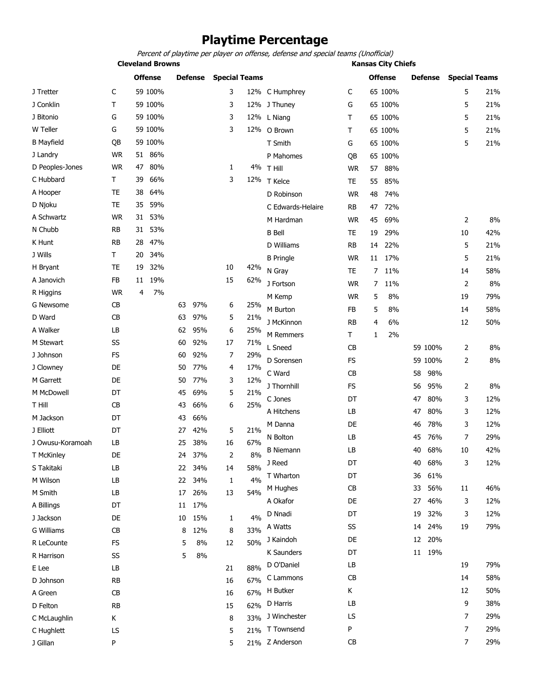# **Playtime Percentage**

Percent of playtime per player on offense, defense and special teams (Unofficial)

**Cleveland Browns Kansas City Chiefs**

| J Tretter<br>59 100%<br>3<br>65 100%<br>5<br>C<br>12% C Humphrey<br>C<br>J Conklin<br>Τ<br>59 100%<br>3<br>5<br>65 100%<br>12% J Thuney<br>G<br>G<br>59 100%<br>3<br>12% L Niang<br>J Bitonio<br>65 100%<br>5<br>т<br>W Teller<br>59 100%<br>3<br>G<br>12% O Brown<br>65 100%<br>5<br>Τ | 21%<br>21%<br>21%<br>21%<br>21% |
|-----------------------------------------------------------------------------------------------------------------------------------------------------------------------------------------------------------------------------------------------------------------------------------------|---------------------------------|
|                                                                                                                                                                                                                                                                                         |                                 |
|                                                                                                                                                                                                                                                                                         |                                 |
|                                                                                                                                                                                                                                                                                         |                                 |
|                                                                                                                                                                                                                                                                                         |                                 |
| <b>B</b> Mayfield<br>59 100%<br>QB<br>5<br>T Smith<br>65 100%<br>G                                                                                                                                                                                                                      |                                 |
| <b>WR</b><br>86%<br>J Landry<br>51<br>P Mahomes<br>65 100%<br>QB                                                                                                                                                                                                                        |                                 |
| <b>WR</b><br>80%<br>D Peoples-Jones<br>47<br>1<br>4% T Hill<br>88%<br><b>WR</b><br>57                                                                                                                                                                                                   |                                 |
| 66%<br>C Hubbard<br>Τ<br>39<br>3<br>12%<br>T Kelce<br>55<br>85%<br>TE                                                                                                                                                                                                                   |                                 |
| <b>TE</b><br>64%<br>A Hooper<br>38<br>D Robinson<br><b>WR</b><br>48<br>74%                                                                                                                                                                                                              |                                 |
| 59%<br>D Njoku<br>TE<br>35<br>47<br>72%<br>C Edwards-Helaire<br>RB                                                                                                                                                                                                                      |                                 |
| A Schwartz<br><b>WR</b><br>53%<br>31<br><b>WR</b><br>45<br>69%<br>2<br>M Hardman                                                                                                                                                                                                        | 8%                              |
| N Chubb<br>53%<br>RB<br>31<br><b>B</b> Bell<br>29%<br>TE<br>19<br>10                                                                                                                                                                                                                    | 42%                             |
| K Hunt<br><b>RB</b><br>47%<br>28<br>D Williams<br>5<br><b>RB</b><br>22%<br>14                                                                                                                                                                                                           | 21%                             |
| J Wills<br>34%<br>Т<br>20<br>5<br><b>B</b> Pringle<br><b>WR</b><br>17%<br>11                                                                                                                                                                                                            | 21%                             |
| 32%<br>H Bryant<br>TE<br>19<br>10<br>42%<br>N Gray<br><b>TE</b><br>7<br>11%<br>14                                                                                                                                                                                                       | 58%                             |
| FB<br>19%<br>15<br>A Janovich<br>62%<br>11<br>J Fortson<br><b>WR</b><br>11%<br>2<br>7                                                                                                                                                                                                   | 8%                              |
| <b>WR</b><br>7%<br>R Higgins<br>4<br><b>WR</b><br>5<br>8%<br>M Kemp<br>19                                                                                                                                                                                                               | 79%                             |
| 97%<br>25%<br>G Newsome<br>СB<br>63<br>6<br>M Burton<br>5<br>8%<br>FB<br>14                                                                                                                                                                                                             | 58%                             |
| D Ward<br>CB<br>63<br>97%<br>5<br>21%<br>J McKinnon<br>6%<br>12<br><b>RB</b><br>4                                                                                                                                                                                                       | 50%                             |
| A Walker<br>LB<br>95%<br>6<br>62<br>25%<br>Τ<br>2%<br>M Remmers<br>1                                                                                                                                                                                                                    |                                 |
| M Stewart<br>SS<br>92%<br>71%<br>17<br>60<br>L Sneed<br>CB<br>59 100%<br>2                                                                                                                                                                                                              | 8%                              |
| <b>FS</b><br>92%<br>29%<br>J Johnson<br>60<br>7                                                                                                                                                                                                                                         |                                 |
| FS<br>2<br>D Sorensen<br>59 100%<br>DE<br>77%<br>17%<br>J Clowney<br>50<br>4                                                                                                                                                                                                            | 8%                              |
| C Ward<br>CB<br>98%<br>58<br>M Garrett<br>DE<br>50<br>77%<br>3<br>12%                                                                                                                                                                                                                   |                                 |
| J Thornhill<br><b>FS</b><br>95%<br>2<br>56<br>M McDowell<br>DT<br>69%<br>5<br>21%<br>45                                                                                                                                                                                                 | 8%                              |
| DT<br>80%<br>3<br>C Jones<br>47<br>T Hill<br>CB<br>66%<br>25%<br>43<br>6                                                                                                                                                                                                                | 12%                             |
| A Hitchens<br>LB<br>80%<br>3<br>47<br>M Jackson<br>DT<br>66%<br>43                                                                                                                                                                                                                      | 12%                             |
| 3<br>M Danna<br>DE<br>78%<br>46<br>21%<br>J Elliott<br>DT<br>42%<br>5<br>27                                                                                                                                                                                                             | 12%                             |
| LB<br>7<br>N Bolton<br>76%<br>45<br>J Owusu-Koramoah<br>LB<br>38%<br>67%<br>16<br>25                                                                                                                                                                                                    | 29%                             |
| LB<br>68%<br>40<br>10<br><b>B</b> Niemann<br>DE<br>37%<br>2<br>8%<br>T McKinley<br>24                                                                                                                                                                                                   | 42%                             |
| J Reed<br>DT<br>40<br>68%<br>3<br>LB<br>22 34%<br>58%<br>S Takitaki<br>14                                                                                                                                                                                                               | 12%                             |
| DT<br>36<br>61%<br>T Wharton<br>4%<br>M Wilson<br>LB<br>22<br>34%<br>1                                                                                                                                                                                                                  |                                 |
| 56%<br>M Hughes<br><b>CB</b><br>33<br>11<br>54%<br>M Smith<br>LB<br>26%<br>17<br>13                                                                                                                                                                                                     | 46%                             |
| DE<br>46%<br>3<br>A Okafor<br>27<br>17%<br>A Billings<br>DT<br>11                                                                                                                                                                                                                       | 12%                             |
| 32%<br>3<br>D Nnadi<br>DT<br>19<br>4%<br>15%<br>J Jackson<br>DE<br>10<br>1                                                                                                                                                                                                              | 12%                             |
| SS<br>24%<br>A Watts<br>19<br>14<br>33%<br>G Williams<br>CB<br>8<br>12%<br>8                                                                                                                                                                                                            | 79%                             |
| 20%<br>J Kaindoh<br>DE<br>$12 \overline{ }$<br>50%<br>R LeCounte<br><b>FS</b><br>5<br>8%<br>12                                                                                                                                                                                          |                                 |
| 11 19%<br>K Saunders<br>DT<br>SS<br>5<br>8%<br>R Harrison                                                                                                                                                                                                                               |                                 |
| D O'Daniel<br>LB<br>19<br>88%<br>LB<br>E Lee<br>21                                                                                                                                                                                                                                      | 79%                             |
| CB<br>14<br>C Lammons<br>67%<br><b>RB</b><br>16<br>D Johnson                                                                                                                                                                                                                            | 58%                             |
| Κ<br>12<br>H Butker<br>67%<br>CB<br>A Green<br>16                                                                                                                                                                                                                                       | 50%                             |
| LB<br>9<br>D Harris<br>62%<br>D Felton<br><b>RB</b><br>15                                                                                                                                                                                                                               | 38%                             |
| 7<br>LS<br>J Winchester<br>33%<br>C McLaughlin<br>Κ<br>8                                                                                                                                                                                                                                | 29%                             |
| T Townsend<br>7<br>P<br>C Hughlett<br>LS<br>21%<br>5                                                                                                                                                                                                                                    | 29%                             |
| 7<br>21% Z Anderson<br>CB<br>J Gillan<br>P<br>5                                                                                                                                                                                                                                         | 29%                             |